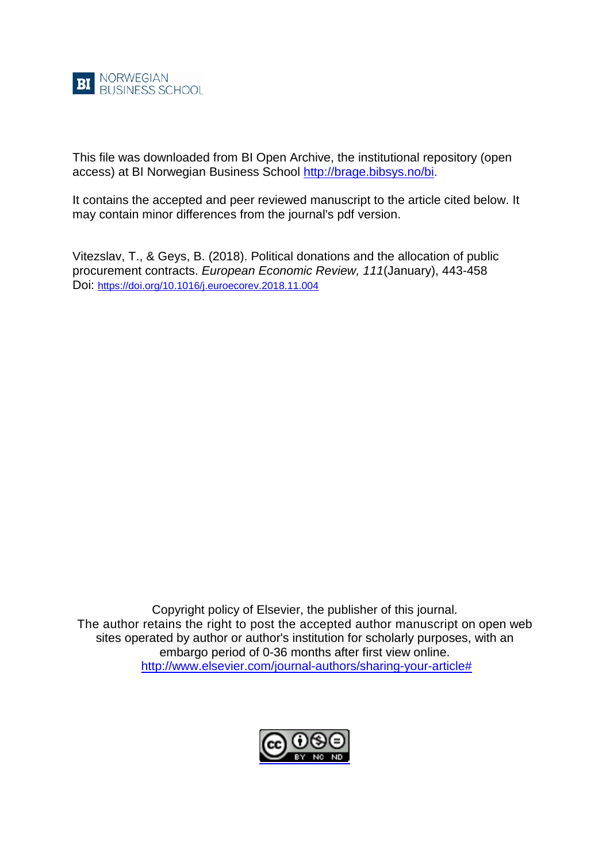

This file was downloaded from BI Open Archive, the institutional repository (open access) at BI Norwegian Business School [http://brage.bibsys.no/bi.](http://brage.bibsys.no/bi)

It contains the accepted and peer reviewed manuscript to the article cited below. It may contain minor differences from the journal's pdf version.

Vitezslav, T., & Geys, B. (2018). Political donations and the allocation of public procurement contracts. *European Economic Review, 111*(January), 443-458 Doi: <https://doi.org/10.1016/j.euroecorev.2018.11.004>

Copyright policy of Elsevier, the publisher of this journal. The author retains the right to post the accepted author manuscript on open web sites operated by author or author's institution for scholarly purposes, with an embargo period of 0-36 months after first view online. [http://www.elsevier.com/journal-authors/sharing-your-article#](http://www.elsevier.com/journal-authors/sharing-your-article)

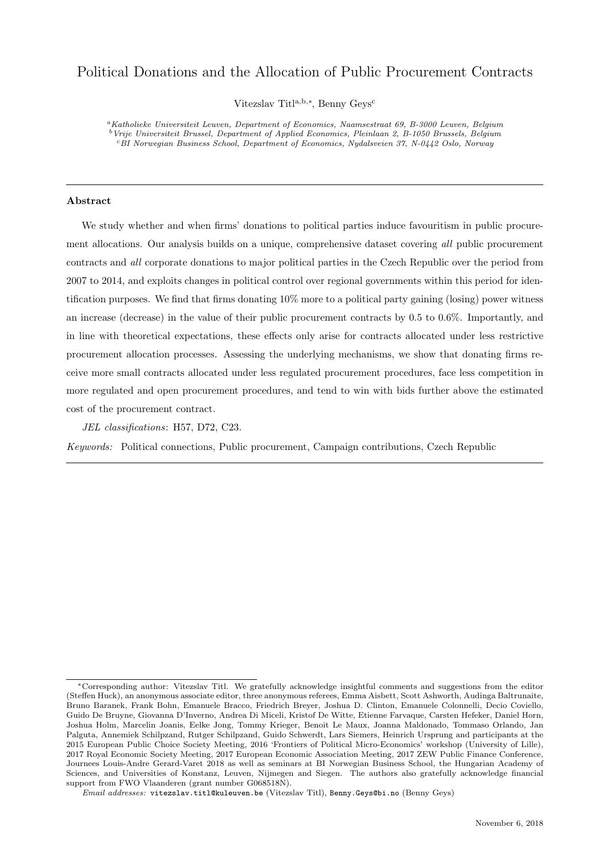# Political Donations and the Allocation of Public Procurement Contracts

Vitezslav Titl<sup>a,b,∗</sup>, Benny Geys<sup>c</sup>

<sup>a</sup>Katholieke Universiteit Leuven, Department of Economics, Naamsestraat 69, B-3000 Leuven, Belgium <sup>b</sup>Vrije Universiteit Brussel, Department of Applied Economics, Pleinlaan 2, B-1050 Brussels, Belgium <sup>c</sup>BI Norwegian Business School, Department of Economics, Nydalsveien 37, N-0442 Oslo, Norway

# Abstract

We study whether and when firms' donations to political parties induce favouritism in public procurement allocations. Our analysis builds on a unique, comprehensive dataset covering all public procurement contracts and all corporate donations to major political parties in the Czech Republic over the period from 2007 to 2014, and exploits changes in political control over regional governments within this period for identification purposes. We find that firms donating 10% more to a political party gaining (losing) power witness an increase (decrease) in the value of their public procurement contracts by 0.5 to 0.6%. Importantly, and in line with theoretical expectations, these effects only arise for contracts allocated under less restrictive procurement allocation processes. Assessing the underlying mechanisms, we show that donating firms receive more small contracts allocated under less regulated procurement procedures, face less competition in more regulated and open procurement procedures, and tend to win with bids further above the estimated cost of the procurement contract.

JEL classifications: H57, D72, C23.

Keywords: Political connections, Public procurement, Campaign contributions, Czech Republic

<sup>∗</sup>Corresponding author: Vitezslav Titl. We gratefully acknowledge insightful comments and suggestions from the editor (Steffen Huck), an anonymous associate editor, three anonymous referees, Emma Aisbett, Scott Ashworth, Audinga Baltrunaite, Bruno Baranek, Frank Bohn, Emanuele Bracco, Friedrich Breyer, Joshua D. Clinton, Emanuele Colonnelli, Decio Coviello, Guido De Bruyne, Giovanna D'Inverno, Andrea Di Miceli, Kristof De Witte, Etienne Farvaque, Carsten Hefeker, Daniel Horn, Joshua Holm, Marcelin Joanis, Eelke Jong, Tommy Krieger, Benoit Le Maux, Joanna Maldonado, Tommaso Orlando, Jan Palguta, Annemiek Schilpzand, Rutger Schilpzand, Guido Schwerdt, Lars Siemers, Heinrich Ursprung and participants at the 2015 European Public Choice Society Meeting, 2016 'Frontiers of Political Micro-Economics' workshop (University of Lille), 2017 Royal Economic Society Meeting, 2017 European Economic Association Meeting, 2017 ZEW Public Finance Conference, Journees Louis-Andre Gerard-Varet 2018 as well as seminars at BI Norwegian Business School, the Hungarian Academy of Sciences, and Universities of Konstanz, Leuven, Nijmegen and Siegen. The authors also gratefully acknowledge financial support from FWO Vlaanderen (grant number G068518N).

Email addresses: vitezslav.titl@kuleuven.be (Vitezslav Titl), Benny.Geys@bi.no (Benny Geys)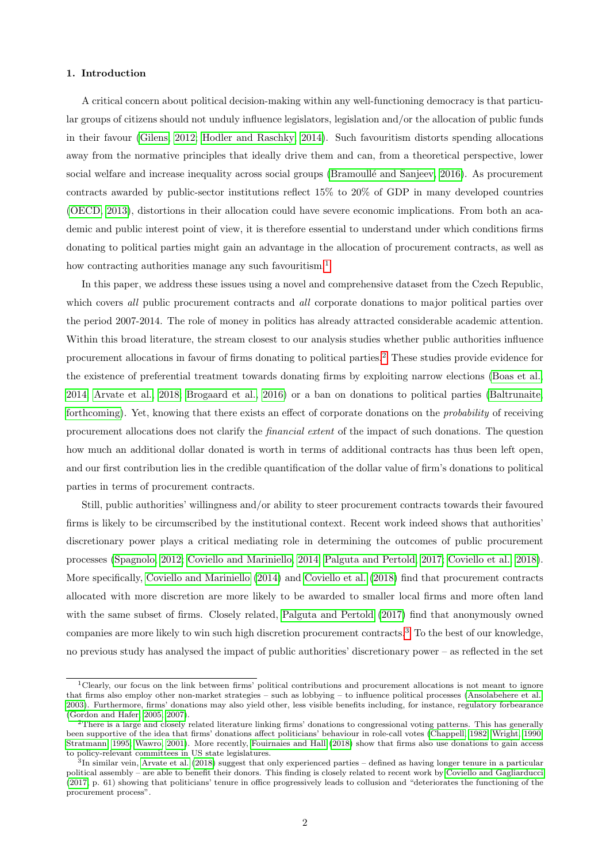## 1. Introduction

A critical concern about political decision-making within any well-functioning democracy is that particular groups of citizens should not unduly influence legislators, legislation and/or the allocation of public funds in their favour [\(Gilens, 2012;](#page-20-0) [Hodler and Raschky, 2014\)](#page-20-1). Such favouritism distorts spending allocations away from the normative principles that ideally drive them and can, from a theoretical perspective, lower social welfare and increase inequality across social groups (Bramoullé and Sanjeev, 2016). As procurement contracts awarded by public-sector institutions reflect 15% to 20% of GDP in many developed countries [\(OECD, 2013\)](#page-20-2), distortions in their allocation could have severe economic implications. From both an academic and public interest point of view, it is therefore essential to understand under which conditions firms donating to political parties might gain an advantage in the allocation of procurement contracts, as well as how contracting authorities manage any such favouritism.<sup>[1](#page-2-0)</sup>

In this paper, we address these issues using a novel and comprehensive dataset from the Czech Republic, which covers all public procurement contracts and all corporate donations to major political parties over the period 2007-2014. The role of money in politics has already attracted considerable academic attention. Within this broad literature, the stream closest to our analysis studies whether public authorities influence procurement allocations in favour of firms donating to political parties.[2](#page-2-1) These studies provide evidence for the existence of preferential treatment towards donating firms by exploiting narrow elections [\(Boas et al.,](#page-19-1) [2014;](#page-19-1) [Arvate et al., 2018;](#page-19-2) [Brogaard et al., 2016\)](#page-19-3) or a ban on donations to political parties [\(Baltrunaite,](#page-19-4) [forthcoming\)](#page-19-4). Yet, knowing that there exists an effect of corporate donations on the probability of receiving procurement allocations does not clarify the financial extent of the impact of such donations. The question how much an additional dollar donated is worth in terms of additional contracts has thus been left open, and our first contribution lies in the credible quantification of the dollar value of firm's donations to political parties in terms of procurement contracts.

Still, public authorities' willingness and/or ability to steer procurement contracts towards their favoured firms is likely to be circumscribed by the institutional context. Recent work indeed shows that authorities' discretionary power plays a critical mediating role in determining the outcomes of public procurement processes [\(Spagnolo, 2012;](#page-20-3) [Coviello and Mariniello, 2014;](#page-19-5) [Palguta and Pertold, 2017;](#page-20-4) [Coviello et al., 2018\)](#page-19-6). More specifically, [Coviello and Mariniello](#page-19-5) [\(2014\)](#page-19-5) and [Coviello et al.](#page-19-6) [\(2018\)](#page-19-6) find that procurement contracts allocated with more discretion are more likely to be awarded to smaller local firms and more often land with the same subset of firms. Closely related, [Palguta and Pertold](#page-20-4) [\(2017\)](#page-20-4) find that anonymously owned companies are more likely to win such high discretion procurement contracts.<sup>[3](#page-2-2)</sup> To the best of our knowledge, no previous study has analysed the impact of public authorities' discretionary power – as reflected in the set

<span id="page-2-0"></span><sup>1</sup>Clearly, our focus on the link between firms' political contributions and procurement allocations is not meant to ignore that firms also employ other non-market strategies – such as lobbying – to influence political processes [\(Ansolabehere et al.,](#page-19-7) [2003\)](#page-19-7). Furthermore, firms' donations may also yield other, less visible benefits including, for instance, regulatory forbearance [\(Gordon and Hafer, 2005,](#page-20-5) [2007\)](#page-20-6).

<span id="page-2-1"></span><sup>2</sup>There is a large and closely related literature linking firms' donations to congressional voting patterns. This has generally been supportive of the idea that firms' donations affect politicians' behaviour in role-call votes [\(Chappell, 1982;](#page-19-8) [Wright, 1990;](#page-21-0) [Stratmann, 1995;](#page-20-7) [Wawro, 2001\)](#page-21-1). More recently, [Fouirnaies and Hall](#page-20-8) [\(2018\)](#page-20-8) show that firms also use donations to gain access to policy-relevant committees in US state legislatures.

<span id="page-2-2"></span><sup>&</sup>lt;sup>3</sup>In similar vein, [Arvate et al.](#page-19-2) [\(2018\)](#page-19-2) suggest that only experienced parties – defined as having longer tenure in a particular political assembly – are able to benefit their donors. This finding is closely related to recent work by [Coviello and Gagliarducci](#page-19-9) [\(2017,](#page-19-9) p. 61) showing that politicians' tenure in office progressively leads to collusion and "deteriorates the functioning of the procurement process".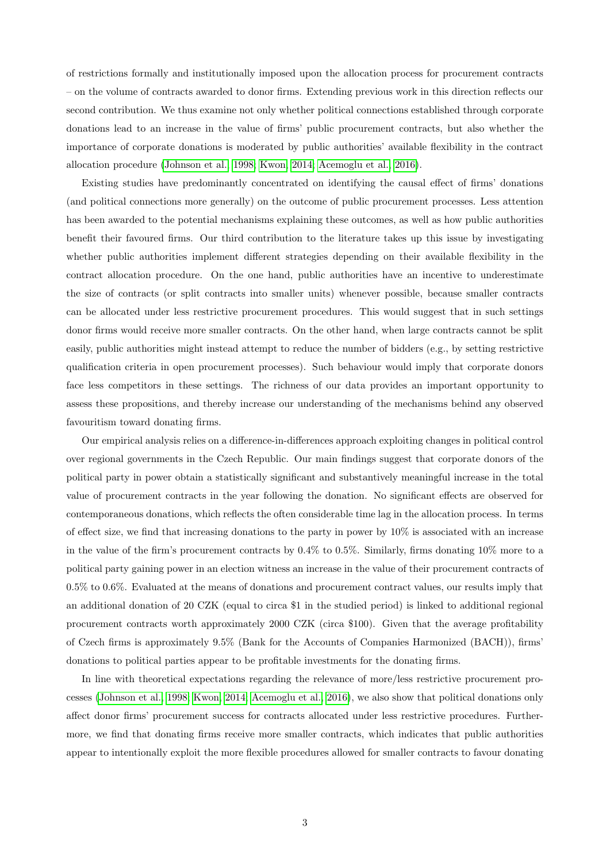of restrictions formally and institutionally imposed upon the allocation process for procurement contracts – on the volume of contracts awarded to donor firms. Extending previous work in this direction reflects our second contribution. We thus examine not only whether political connections established through corporate donations lead to an increase in the value of firms' public procurement contracts, but also whether the importance of corporate donations is moderated by public authorities' available flexibility in the contract allocation procedure [\(Johnson et al., 1998;](#page-20-9) [Kwon, 2014;](#page-20-10) [Acemoglu et al., 2016\)](#page-19-10).

Existing studies have predominantly concentrated on identifying the causal effect of firms' donations (and political connections more generally) on the outcome of public procurement processes. Less attention has been awarded to the potential mechanisms explaining these outcomes, as well as how public authorities benefit their favoured firms. Our third contribution to the literature takes up this issue by investigating whether public authorities implement different strategies depending on their available flexibility in the contract allocation procedure. On the one hand, public authorities have an incentive to underestimate the size of contracts (or split contracts into smaller units) whenever possible, because smaller contracts can be allocated under less restrictive procurement procedures. This would suggest that in such settings donor firms would receive more smaller contracts. On the other hand, when large contracts cannot be split easily, public authorities might instead attempt to reduce the number of bidders (e.g., by setting restrictive qualification criteria in open procurement processes). Such behaviour would imply that corporate donors face less competitors in these settings. The richness of our data provides an important opportunity to assess these propositions, and thereby increase our understanding of the mechanisms behind any observed favouritism toward donating firms.

Our empirical analysis relies on a difference-in-differences approach exploiting changes in political control over regional governments in the Czech Republic. Our main findings suggest that corporate donors of the political party in power obtain a statistically significant and substantively meaningful increase in the total value of procurement contracts in the year following the donation. No significant effects are observed for contemporaneous donations, which reflects the often considerable time lag in the allocation process. In terms of effect size, we find that increasing donations to the party in power by 10% is associated with an increase in the value of the firm's procurement contracts by 0.4% to 0.5%. Similarly, firms donating 10% more to a political party gaining power in an election witness an increase in the value of their procurement contracts of 0.5% to 0.6%. Evaluated at the means of donations and procurement contract values, our results imply that an additional donation of 20 CZK (equal to circa \$1 in the studied period) is linked to additional regional procurement contracts worth approximately 2000 CZK (circa \$100). Given that the average profitability of Czech firms is approximately 9.5% (Bank for the Accounts of Companies Harmonized (BACH)), firms' donations to political parties appear to be profitable investments for the donating firms.

In line with theoretical expectations regarding the relevance of more/less restrictive procurement processes [\(Johnson et al., 1998;](#page-20-9) [Kwon, 2014;](#page-20-10) [Acemoglu et al., 2016\)](#page-19-10), we also show that political donations only affect donor firms' procurement success for contracts allocated under less restrictive procedures. Furthermore, we find that donating firms receive more smaller contracts, which indicates that public authorities appear to intentionally exploit the more flexible procedures allowed for smaller contracts to favour donating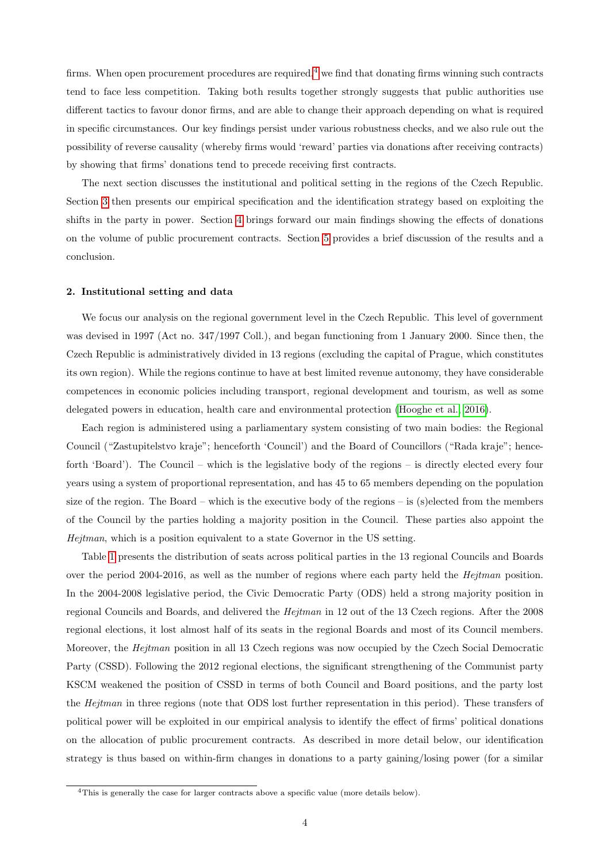firms. When open procurement procedures are required, $4 \leq \text{find}$  $4 \leq \text{find}$  that donating firms winning such contracts tend to face less competition. Taking both results together strongly suggests that public authorities use different tactics to favour donor firms, and are able to change their approach depending on what is required in specific circumstances. Our key findings persist under various robustness checks, and we also rule out the possibility of reverse causality (whereby firms would 'reward' parties via donations after receiving contracts) by showing that firms' donations tend to precede receiving first contracts.

The next section discusses the institutional and political setting in the regions of the Czech Republic. Section [3](#page-7-0) then presents our empirical specification and the identification strategy based on exploiting the shifts in the party in power. Section [4](#page-9-0) brings forward our main findings showing the effects of donations on the volume of public procurement contracts. Section [5](#page-16-0) provides a brief discussion of the results and a conclusion.

#### <span id="page-4-1"></span>2. Institutional setting and data

We focus our analysis on the regional government level in the Czech Republic. This level of government was devised in 1997 (Act no. 347/1997 Coll.), and began functioning from 1 January 2000. Since then, the Czech Republic is administratively divided in 13 regions (excluding the capital of Prague, which constitutes its own region). While the regions continue to have at best limited revenue autonomy, they have considerable competences in economic policies including transport, regional development and tourism, as well as some delegated powers in education, health care and environmental protection [\(Hooghe et al., 2016\)](#page-20-11).

Each region is administered using a parliamentary system consisting of two main bodies: the Regional Council ("Zastupitelstvo kraje"; henceforth 'Council') and the Board of Councillors ("Rada kraje"; henceforth 'Board'). The Council – which is the legislative body of the regions – is directly elected every four years using a system of proportional representation, and has 45 to 65 members depending on the population size of the region. The Board – which is the executive body of the regions – is (s)elected from the members of the Council by the parties holding a majority position in the Council. These parties also appoint the Hejtman, which is a position equivalent to a state Governor in the US setting.

Table [1](#page-22-0) presents the distribution of seats across political parties in the 13 regional Councils and Boards over the period 2004-2016, as well as the number of regions where each party held the Hejtman position. In the 2004-2008 legislative period, the Civic Democratic Party (ODS) held a strong majority position in regional Councils and Boards, and delivered the Hejtman in 12 out of the 13 Czech regions. After the 2008 regional elections, it lost almost half of its seats in the regional Boards and most of its Council members. Moreover, the Hejtman position in all 13 Czech regions was now occupied by the Czech Social Democratic Party (CSSD). Following the 2012 regional elections, the significant strengthening of the Communist party KSCM weakened the position of CSSD in terms of both Council and Board positions, and the party lost the *Hejtman* in three regions (note that ODS lost further representation in this period). These transfers of political power will be exploited in our empirical analysis to identify the effect of firms' political donations on the allocation of public procurement contracts. As described in more detail below, our identification strategy is thus based on within-firm changes in donations to a party gaining/losing power (for a similar

<span id="page-4-0"></span><sup>4</sup>This is generally the case for larger contracts above a specific value (more details below).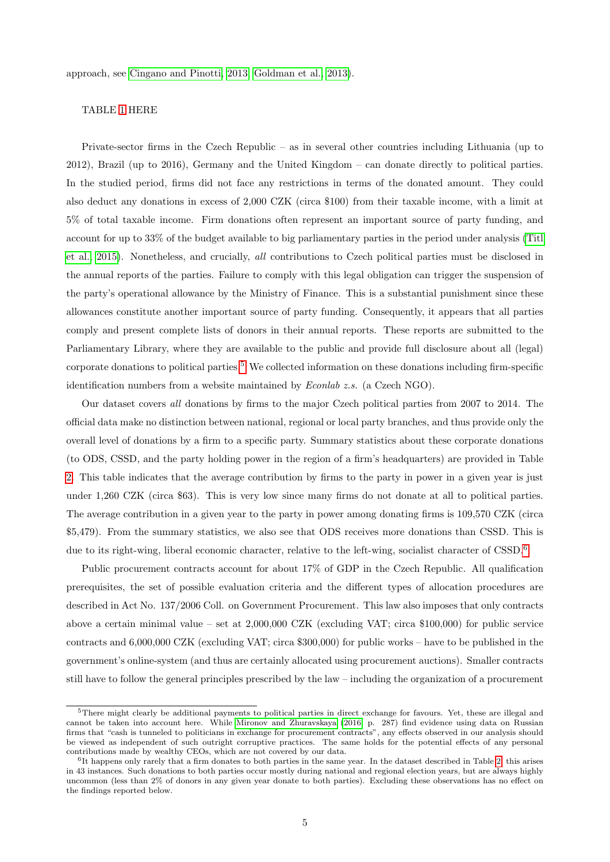approach, see [Cingano and Pinotti, 2013;](#page-19-11) [Goldman et al., 2013\)](#page-20-12).

# TABLE [1](#page-22-0) HERE

Private-sector firms in the Czech Republic – as in several other countries including Lithuania (up to 2012), Brazil (up to 2016), Germany and the United Kingdom – can donate directly to political parties. In the studied period, firms did not face any restrictions in terms of the donated amount. They could also deduct any donations in excess of 2,000 CZK (circa \$100) from their taxable income, with a limit at 5% of total taxable income. Firm donations often represent an important source of party funding, and account for up to 33% of the budget available to big parliamentary parties in the period under analysis [\(Titl](#page-21-2) [et al., 2015\)](#page-21-2). Nonetheless, and crucially, all contributions to Czech political parties must be disclosed in the annual reports of the parties. Failure to comply with this legal obligation can trigger the suspension of the party's operational allowance by the Ministry of Finance. This is a substantial punishment since these allowances constitute another important source of party funding. Consequently, it appears that all parties comply and present complete lists of donors in their annual reports. These reports are submitted to the Parliamentary Library, where they are available to the public and provide full disclosure about all (legal) corporate donations to political parties.<sup>[5](#page-5-0)</sup> We collected information on these donations including firm-specific identification numbers from a website maintained by Econlab z.s. (a Czech NGO).

Our dataset covers all donations by firms to the major Czech political parties from 2007 to 2014. The official data make no distinction between national, regional or local party branches, and thus provide only the overall level of donations by a firm to a specific party. Summary statistics about these corporate donations (to ODS, CSSD, and the party holding power in the region of a firm's headquarters) are provided in Table [2.](#page-23-0) This table indicates that the average contribution by firms to the party in power in a given year is just under 1,260 CZK (circa \$63). This is very low since many firms do not donate at all to political parties. The average contribution in a given year to the party in power among donating firms is 109,570 CZK (circa \$5,479). From the summary statistics, we also see that ODS receives more donations than CSSD. This is due to its right-wing, liberal economic character, relative to the left-wing, socialist character of CSSD.<sup>[6](#page-5-1)</sup>

Public procurement contracts account for about 17% of GDP in the Czech Republic. All qualification prerequisites, the set of possible evaluation criteria and the different types of allocation procedures are described in Act No. 137/2006 Coll. on Government Procurement. This law also imposes that only contracts above a certain minimal value – set at  $2,000,000$  CZK (excluding VAT; circa \$100,000) for public service contracts and 6,000,000 CZK (excluding VAT; circa \$300,000) for public works – have to be published in the government's online-system (and thus are certainly allocated using procurement auctions). Smaller contracts still have to follow the general principles prescribed by the law – including the organization of a procurement

<span id="page-5-0"></span><sup>&</sup>lt;sup>5</sup>There might clearly be additional payments to political parties in direct exchange for favours. Yet, these are illegal and cannot be taken into account here. While [Mironov and Zhuravskaya](#page-20-13) [\(2016,](#page-20-13) p. 287) find evidence using data on Russian firms that "cash is tunneled to politicians in exchange for procurement contracts", any effects observed in our analysis should be viewed as independent of such outright corruptive practices. The same holds for the potential effects of any personal contributions made by wealthy CEOs, which are not covered by our data.

<span id="page-5-1"></span><sup>&</sup>lt;sup>6</sup>It happens only rarely that a firm donates to both parties in the same year. In the dataset described in Table [2,](#page-23-0) this arises in 43 instances. Such donations to both parties occur mostly during national and regional election years, but are always highly uncommon (less than 2% of donors in any given year donate to both parties). Excluding these observations has no effect on the findings reported below.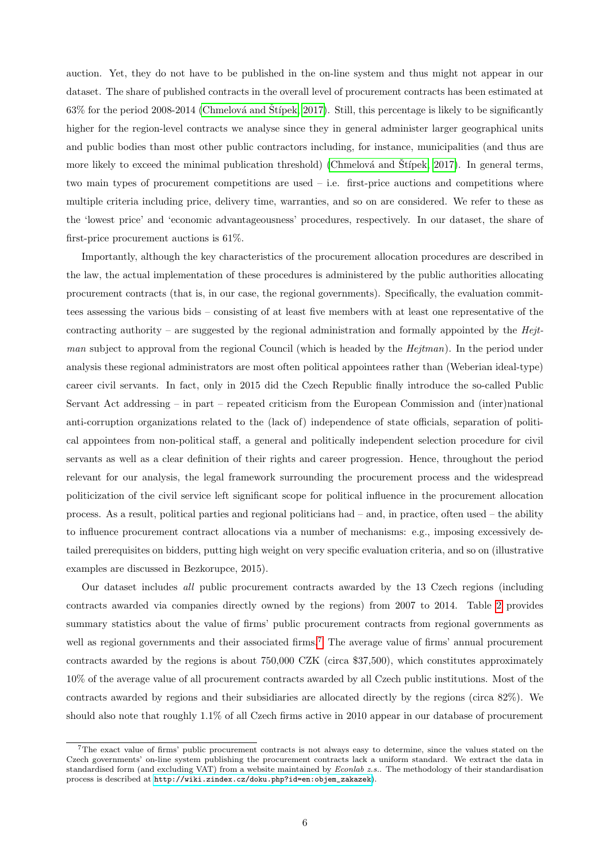auction. Yet, they do not have to be published in the on-line system and thus might not appear in our dataset. The share of published contracts in the overall level of procurement contracts has been estimated at  $63\%$  for the period 2008-2014 (Chmelová and Štípek, [2017\)](#page-19-12). Still, this percentage is likely to be significantly higher for the region-level contracts we analyse since they in general administer larger geographical units and public bodies than most other public contractors including, for instance, municipalities (and thus are more likely to exceed the minimal publication threshold) (Chmelová and Štípek, [2017\)](#page-19-12). In general terms, two main types of procurement competitions are used – i.e. first-price auctions and competitions where multiple criteria including price, delivery time, warranties, and so on are considered. We refer to these as the 'lowest price' and 'economic advantageousness' procedures, respectively. In our dataset, the share of first-price procurement auctions is 61%.

Importantly, although the key characteristics of the procurement allocation procedures are described in the law, the actual implementation of these procedures is administered by the public authorities allocating procurement contracts (that is, in our case, the regional governments). Specifically, the evaluation committees assessing the various bids – consisting of at least five members with at least one representative of the contracting authority – are suggested by the regional administration and formally appointed by the  $Hejt$ man subject to approval from the regional Council (which is headed by the Hejtman). In the period under analysis these regional administrators are most often political appointees rather than (Weberian ideal-type) career civil servants. In fact, only in 2015 did the Czech Republic finally introduce the so-called Public Servant Act addressing – in part – repeated criticism from the European Commission and (inter)national anti-corruption organizations related to the (lack of) independence of state officials, separation of political appointees from non-political staff, a general and politically independent selection procedure for civil servants as well as a clear definition of their rights and career progression. Hence, throughout the period relevant for our analysis, the legal framework surrounding the procurement process and the widespread politicization of the civil service left significant scope for political influence in the procurement allocation process. As a result, political parties and regional politicians had – and, in practice, often used – the ability to influence procurement contract allocations via a number of mechanisms: e.g., imposing excessively detailed prerequisites on bidders, putting high weight on very specific evaluation criteria, and so on (illustrative examples are discussed in Bezkorupce, 2015).

Our dataset includes all public procurement contracts awarded by the 13 Czech regions (including contracts awarded via companies directly owned by the regions) from 2007 to 2014. Table [2](#page-23-0) provides summary statistics about the value of firms' public procurement contracts from regional governments as well as regional governments and their associated firms.<sup>[7](#page-6-0)</sup> The average value of firms' annual procurement contracts awarded by the regions is about 750,000 CZK (circa \$37,500), which constitutes approximately 10% of the average value of all procurement contracts awarded by all Czech public institutions. Most of the contracts awarded by regions and their subsidiaries are allocated directly by the regions (circa 82%). We should also note that roughly 1.1% of all Czech firms active in 2010 appear in our database of procurement

<span id="page-6-0"></span><sup>7</sup>The exact value of firms' public procurement contracts is not always easy to determine, since the values stated on the Czech governments' on-line system publishing the procurement contracts lack a uniform standard. We extract the data in standardised form (and excluding VAT) from a website maintained by  $Econlab \; z.s.$ . The methodology of their standardisation process is described at [http://wiki.zindex.cz/doku.php?id=en:objem\\_zakazek](http://wiki.zindex.cz/doku.php?id=en:objem_zakazek)).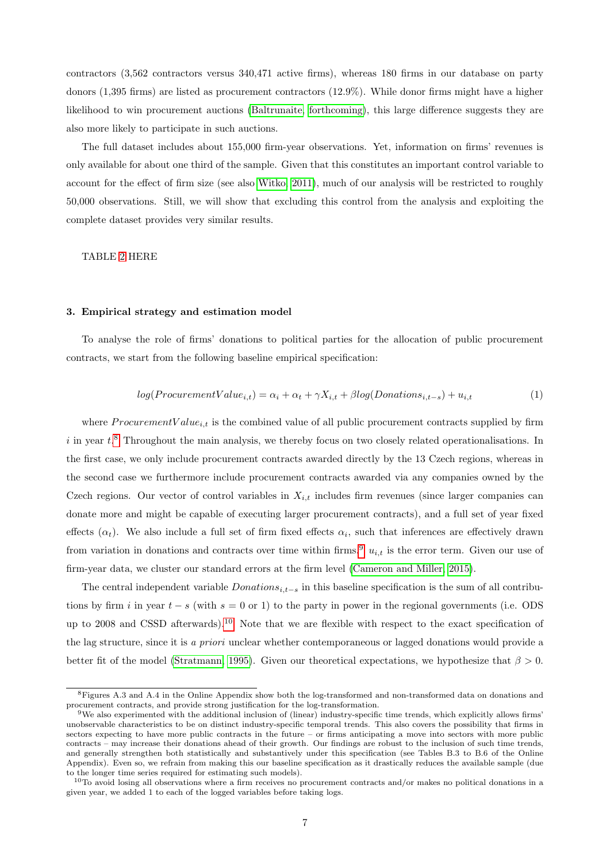contractors (3,562 contractors versus 340,471 active firms), whereas 180 firms in our database on party donors (1,395 firms) are listed as procurement contractors (12.9%). While donor firms might have a higher likelihood to win procurement auctions [\(Baltrunaite, forthcoming\)](#page-19-4), this large difference suggests they are also more likely to participate in such auctions.

The full dataset includes about 155,000 firm-year observations. Yet, information on firms' revenues is only available for about one third of the sample. Given that this constitutes an important control variable to account for the effect of firm size (see also [Witko, 2011\)](#page-21-3), much of our analysis will be restricted to roughly 50,000 observations. Still, we will show that excluding this control from the analysis and exploiting the complete dataset provides very similar results.

TABLE [2](#page-23-0) HERE

### <span id="page-7-0"></span>3. Empirical strategy and estimation model

To analyse the role of firms' donations to political parties for the allocation of public procurement contracts, we start from the following baseline empirical specification:

<span id="page-7-4"></span>
$$
log(ProcurrentValue_{i,t}) = \alpha_i + \alpha_t + \gamma X_{i,t} + \beta log(Donations_{i,t-s}) + u_{i,t}
$$
\n(1)

where ProcurementValue<sub>i,t</sub> is the combined value of all public procurement contracts supplied by firm  $i$  in year  $t$ <sup>[8](#page-7-1)</sup>. Throughout the main analysis, we thereby focus on two closely related operationalisations. In the first case, we only include procurement contracts awarded directly by the 13 Czech regions, whereas in the second case we furthermore include procurement contracts awarded via any companies owned by the Czech regions. Our vector of control variables in  $X_{i,t}$  includes firm revenues (since larger companies can donate more and might be capable of executing larger procurement contracts), and a full set of year fixed effects  $(\alpha_t)$ . We also include a full set of firm fixed effects  $\alpha_i$ , such that inferences are effectively drawn from variation in donations and contracts over time within firms.<sup>[9](#page-7-2)</sup>  $u_{i,t}$  is the error term. Given our use of firm-year data, we cluster our standard errors at the firm level [\(Cameron and Miller, 2015\)](#page-19-13).

The central independent variable  $Donations_{i,t-s}$  in this baseline specification is the sum of all contributions by firm i in year  $t - s$  (with  $s = 0$  or 1) to the party in power in the regional governments (i.e. ODS up to 2008 and CSSD afterwards).<sup>[10](#page-7-3)</sup> Note that we are flexible with respect to the exact specification of the lag structure, since it is a priori unclear whether contemporaneous or lagged donations would provide a better fit of the model [\(Stratmann, 1995\)](#page-20-7). Given our theoretical expectations, we hypothesize that  $\beta > 0$ .

<span id="page-7-1"></span><sup>8</sup>Figures A.3 and A.4 in the Online Appendix show both the log-transformed and non-transformed data on donations and procurement contracts, and provide strong justification for the log-transformation.

<span id="page-7-2"></span><sup>9</sup>We also experimented with the additional inclusion of (linear) industry-specific time trends, which explicitly allows firms' unobservable characteristics to be on distinct industry-specific temporal trends. This also covers the possibility that firms in sectors expecting to have more public contracts in the future – or firms anticipating a move into sectors with more public contracts – may increase their donations ahead of their growth. Our findings are robust to the inclusion of such time trends, and generally strengthen both statistically and substantively under this specification (see Tables B.3 to B.6 of the Online Appendix). Even so, we refrain from making this our baseline specification as it drastically reduces the available sample (due to the longer time series required for estimating such models).

<span id="page-7-3"></span> $10$ To avoid losing all observations where a firm receives no procurement contracts and/or makes no political donations in a given year, we added 1 to each of the logged variables before taking logs.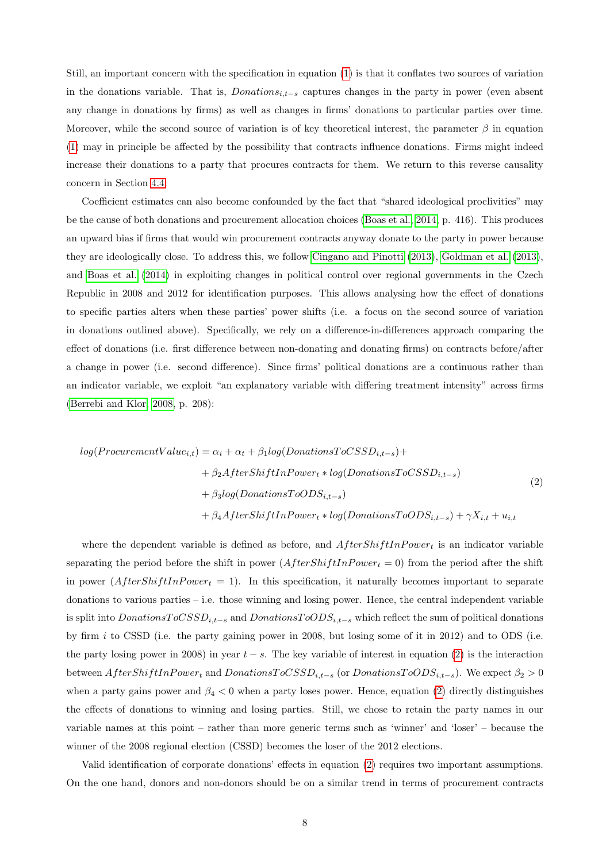Still, an important concern with the specification in equation [\(1\)](#page-7-4) is that it conflates two sources of variation in the donations variable. That is,  $Donations_{i,t-s}$  captures changes in the party in power (even absent any change in donations by firms) as well as changes in firms' donations to particular parties over time. Moreover, while the second source of variation is of key theoretical interest, the parameter  $\beta$  in equation [\(1\)](#page-7-4) may in principle be affected by the possibility that contracts influence donations. Firms might indeed increase their donations to a party that procures contracts for them. We return to this reverse causality concern in Section [4.4.](#page-15-0)

Coefficient estimates can also become confounded by the fact that "shared ideological proclivities" may be the cause of both donations and procurement allocation choices [\(Boas et al., 2014,](#page-19-1) p. 416). This produces an upward bias if firms that would win procurement contracts anyway donate to the party in power because they are ideologically close. To address this, we follow [Cingano and Pinotti](#page-19-11) [\(2013\)](#page-19-11), [Goldman et al.](#page-20-12) [\(2013\)](#page-20-12), and [Boas et al.](#page-19-1) [\(2014\)](#page-19-1) in exploiting changes in political control over regional governments in the Czech Republic in 2008 and 2012 for identification purposes. This allows analysing how the effect of donations to specific parties alters when these parties' power shifts (i.e. a focus on the second source of variation in donations outlined above). Specifically, we rely on a difference-in-differences approach comparing the effect of donations (i.e. first difference between non-donating and donating firms) on contracts before/after a change in power (i.e. second difference). Since firms' political donations are a continuous rather than an indicator variable, we exploit "an explanatory variable with differing treatment intensity" across firms [\(Berrebi and Klor, 2008,](#page-19-14) p. 208):

<span id="page-8-0"></span>
$$
log(ProcurrentValue_{i,t}) = \alpha_i + \alpha_t + \beta_1 log(DonationsToCSSD_{i,t-s}) +
$$
  
+  $\beta_2 AfterShiftInPower_t * log(DonationsToCSSD_{i,t-s})$   
+  $\beta_3 log(DonationsToODS_{i,t-s})$   
+  $\beta_4 AfterShiftInPower_t * log(DonationsToODS_{i,t-s}) + \gamma X_{i,t} + u_{i,t}$  (2)

where the dependent variable is defined as before, and  $AfterShiftInPower<sub>t</sub>$  is an indicator variable separating the period before the shift in power  $(AfterShiftInPower<sub>t</sub> = 0)$  from the period after the shift in power  $(AfterShiftInPower<sub>t</sub> = 1)$ . In this specification, it naturally becomes important to separate donations to various parties – i.e. those winning and losing power. Hence, the central independent variable is split into  $DonationsToCSSD_{i,t-s}$  and  $DonationsToODS_{i,t-s}$  which reflect the sum of political donations by firm  $i$  to CSSD (i.e. the party gaining power in 2008, but losing some of it in 2012) and to ODS (i.e. the party losing power in 2008) in year  $t - s$ . The key variable of interest in equation [\(2\)](#page-8-0) is the interaction between  $After ShiftInPower<sub>t</sub>$  and  $DonationsToCSSD<sub>i,t-s</sub>$  (or  $DonationsToODS<sub>i,t-s</sub>$ ). We expect  $\beta_2 > 0$ when a party gains power and  $\beta_4 < 0$  when a party loses power. Hence, equation [\(2\)](#page-8-0) directly distinguishes the effects of donations to winning and losing parties. Still, we chose to retain the party names in our variable names at this point – rather than more generic terms such as 'winner' and 'loser' – because the winner of the 2008 regional election (CSSD) becomes the loser of the 2012 elections.

Valid identification of corporate donations' effects in equation [\(2\)](#page-8-0) requires two important assumptions. On the one hand, donors and non-donors should be on a similar trend in terms of procurement contracts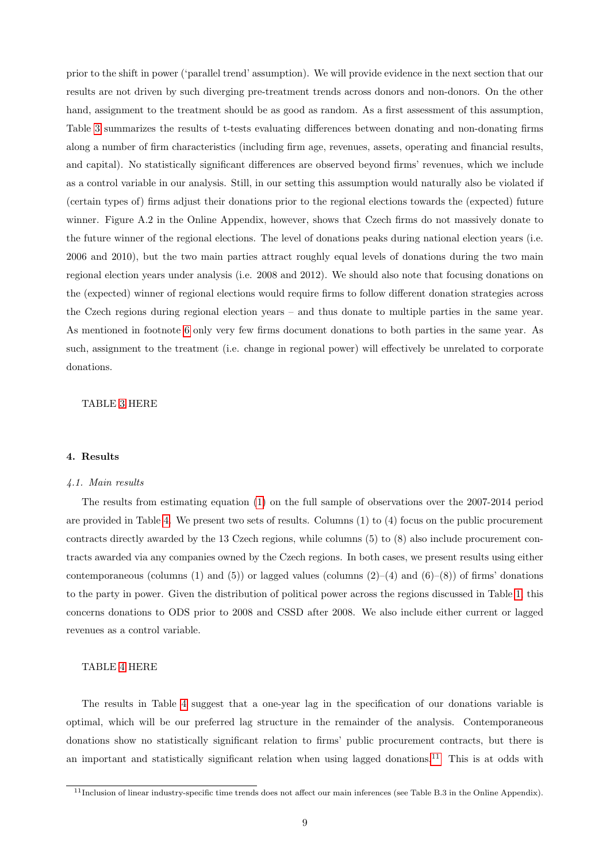prior to the shift in power ('parallel trend' assumption). We will provide evidence in the next section that our results are not driven by such diverging pre-treatment trends across donors and non-donors. On the other hand, assignment to the treatment should be as good as random. As a first assessment of this assumption, Table [3](#page-24-0) summarizes the results of t-tests evaluating differences between donating and non-donating firms along a number of firm characteristics (including firm age, revenues, assets, operating and financial results, and capital). No statistically significant differences are observed beyond firms' revenues, which we include as a control variable in our analysis. Still, in our setting this assumption would naturally also be violated if (certain types of) firms adjust their donations prior to the regional elections towards the (expected) future winner. Figure A.2 in the Online Appendix, however, shows that Czech firms do not massively donate to the future winner of the regional elections. The level of donations peaks during national election years (i.e. 2006 and 2010), but the two main parties attract roughly equal levels of donations during the two main regional election years under analysis (i.e. 2008 and 2012). We should also note that focusing donations on the (expected) winner of regional elections would require firms to follow different donation strategies across the Czech regions during regional election years – and thus donate to multiple parties in the same year. As mentioned in footnote [6](#page-5-1) only very few firms document donations to both parties in the same year. As such, assignment to the treatment (i.e. change in regional power) will effectively be unrelated to corporate donations.

### TABLE [3](#page-24-0) HERE

# <span id="page-9-0"></span>4. Results

#### 4.1. Main results

The results from estimating equation [\(1\)](#page-7-4) on the full sample of observations over the 2007-2014 period are provided in Table [4.](#page-25-0) We present two sets of results. Columns (1) to (4) focus on the public procurement contracts directly awarded by the 13 Czech regions, while columns (5) to (8) also include procurement contracts awarded via any companies owned by the Czech regions. In both cases, we present results using either contemporaneous (columns (1) and (5)) or lagged values (columns  $(2)-(4)$  and  $(6)-(8)$ ) of firms' donations to the party in power. Given the distribution of political power across the regions discussed in Table [1,](#page-22-0) this concerns donations to ODS prior to 2008 and CSSD after 2008. We also include either current or lagged revenues as a control variable.

# TABLE [4](#page-25-0) HERE

The results in Table [4](#page-25-0) suggest that a one-year lag in the specification of our donations variable is optimal, which will be our preferred lag structure in the remainder of the analysis. Contemporaneous donations show no statistically significant relation to firms' public procurement contracts, but there is an important and statistically significant relation when using lagged donations.<sup>[11](#page-9-1)</sup> This is at odds with

<span id="page-9-1"></span><sup>11</sup>Inclusion of linear industry-specific time trends does not affect our main inferences (see Table B.3 in the Online Appendix).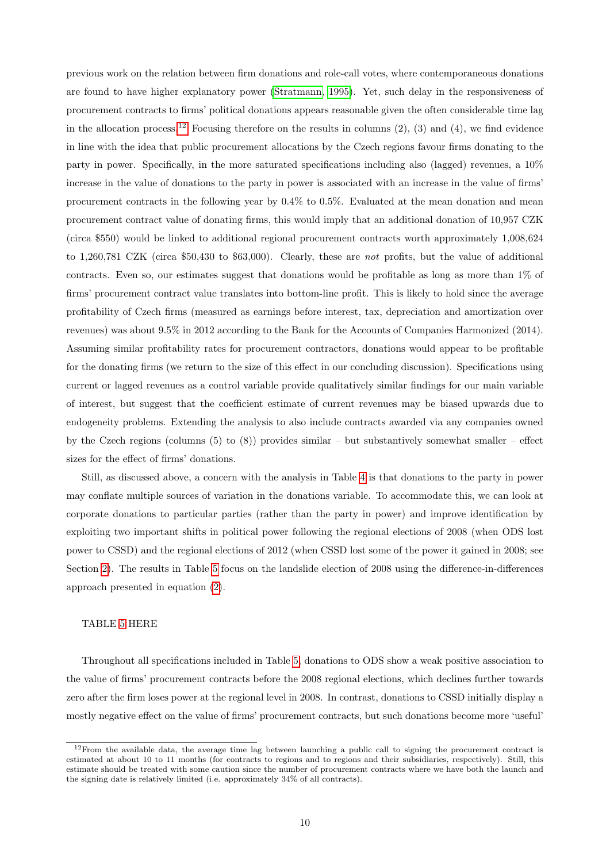previous work on the relation between firm donations and role-call votes, where contemporaneous donations are found to have higher explanatory power [\(Stratmann, 1995\)](#page-20-7). Yet, such delay in the responsiveness of procurement contracts to firms' political donations appears reasonable given the often considerable time lag in the allocation process.<sup>[12](#page-10-0)</sup> Focusing therefore on the results in columns  $(2)$ ,  $(3)$  and  $(4)$ , we find evidence in line with the idea that public procurement allocations by the Czech regions favour firms donating to the party in power. Specifically, in the more saturated specifications including also (lagged) revenues, a 10% increase in the value of donations to the party in power is associated with an increase in the value of firms' procurement contracts in the following year by 0.4% to 0.5%. Evaluated at the mean donation and mean procurement contract value of donating firms, this would imply that an additional donation of 10,957 CZK (circa \$550) would be linked to additional regional procurement contracts worth approximately 1,008,624 to 1,260,781 CZK (circa \$50,430 to \$63,000). Clearly, these are not profits, but the value of additional contracts. Even so, our estimates suggest that donations would be profitable as long as more than 1% of firms' procurement contract value translates into bottom-line profit. This is likely to hold since the average profitability of Czech firms (measured as earnings before interest, tax, depreciation and amortization over revenues) was about 9.5% in 2012 according to the Bank for the Accounts of Companies Harmonized (2014). Assuming similar profitability rates for procurement contractors, donations would appear to be profitable for the donating firms (we return to the size of this effect in our concluding discussion). Specifications using current or lagged revenues as a control variable provide qualitatively similar findings for our main variable of interest, but suggest that the coefficient estimate of current revenues may be biased upwards due to endogeneity problems. Extending the analysis to also include contracts awarded via any companies owned by the Czech regions (columns  $(5)$  to  $(8)$ ) provides similar – but substantively somewhat smaller – effect sizes for the effect of firms' donations.

Still, as discussed above, a concern with the analysis in Table [4](#page-25-0) is that donations to the party in power may conflate multiple sources of variation in the donations variable. To accommodate this, we can look at corporate donations to particular parties (rather than the party in power) and improve identification by exploiting two important shifts in political power following the regional elections of 2008 (when ODS lost power to CSSD) and the regional elections of 2012 (when CSSD lost some of the power it gained in 2008; see Section [2\)](#page-4-1). The results in Table [5](#page-26-0) focus on the landslide election of 2008 using the difference-in-differences approach presented in equation [\(2\)](#page-8-0).

# TABLE [5](#page-26-0) HERE

Throughout all specifications included in Table [5,](#page-26-0) donations to ODS show a weak positive association to the value of firms' procurement contracts before the 2008 regional elections, which declines further towards zero after the firm loses power at the regional level in 2008. In contrast, donations to CSSD initially display a mostly negative effect on the value of firms' procurement contracts, but such donations become more 'useful'

<span id="page-10-0"></span> $12$ From the available data, the average time lag between launching a public call to signing the procurement contract is estimated at about 10 to 11 months (for contracts to regions and to regions and their subsidiaries, respectively). Still, this estimate should be treated with some caution since the number of procurement contracts where we have both the launch and the signing date is relatively limited (i.e. approximately 34% of all contracts).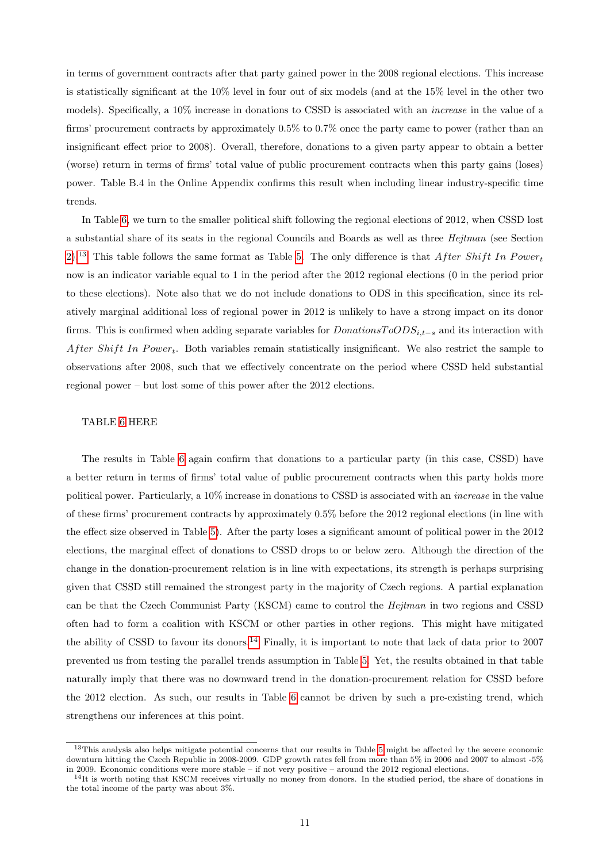in terms of government contracts after that party gained power in the 2008 regional elections. This increase is statistically significant at the 10% level in four out of six models (and at the 15% level in the other two models). Specifically, a 10% increase in donations to CSSD is associated with an increase in the value of a firms' procurement contracts by approximately 0.5% to 0.7% once the party came to power (rather than an insignificant effect prior to 2008). Overall, therefore, donations to a given party appear to obtain a better (worse) return in terms of firms' total value of public procurement contracts when this party gains (loses) power. Table B.4 in the Online Appendix confirms this result when including linear industry-specific time trends.

In Table [6,](#page-27-0) we turn to the smaller political shift following the regional elections of 2012, when CSSD lost a substantial share of its seats in the regional Councils and Boards as well as three Hejtman (see Section [2\)](#page-4-1).<sup>[13](#page-11-0)</sup> This table follows the same format as Table [5.](#page-26-0) The only difference is that After Shift In Power<sub>t</sub> now is an indicator variable equal to 1 in the period after the 2012 regional elections (0 in the period prior to these elections). Note also that we do not include donations to ODS in this specification, since its relatively marginal additional loss of regional power in 2012 is unlikely to have a strong impact on its donor firms. This is confirmed when adding separate variables for  $DonationsToODS_{i,t-s}$  and its interaction with After Shift In Power<sub>t</sub>. Both variables remain statistically insignificant. We also restrict the sample to observations after 2008, such that we effectively concentrate on the period where CSSD held substantial regional power – but lost some of this power after the 2012 elections.

### TABLE [6](#page-27-0) HERE

The results in Table [6](#page-27-0) again confirm that donations to a particular party (in this case, CSSD) have a better return in terms of firms' total value of public procurement contracts when this party holds more political power. Particularly, a 10% increase in donations to CSSD is associated with an increase in the value of these firms' procurement contracts by approximately 0.5% before the 2012 regional elections (in line with the effect size observed in Table [5\)](#page-26-0). After the party loses a significant amount of political power in the 2012 elections, the marginal effect of donations to CSSD drops to or below zero. Although the direction of the change in the donation-procurement relation is in line with expectations, its strength is perhaps surprising given that CSSD still remained the strongest party in the majority of Czech regions. A partial explanation can be that the Czech Communist Party (KSCM) came to control the Hejtman in two regions and CSSD often had to form a coalition with KSCM or other parties in other regions. This might have mitigated the ability of CSSD to favour its donors.<sup>[14](#page-11-1)</sup> Finally, it is important to note that lack of data prior to 2007 prevented us from testing the parallel trends assumption in Table [5.](#page-26-0) Yet, the results obtained in that table naturally imply that there was no downward trend in the donation-procurement relation for CSSD before the 2012 election. As such, our results in Table [6](#page-27-0) cannot be driven by such a pre-existing trend, which strengthens our inferences at this point.

<span id="page-11-0"></span><sup>&</sup>lt;sup>13</sup>This analysis also helps mitigate potential concerns that our results in Table [5](#page-26-0) might be affected by the severe economic downturn hitting the Czech Republic in 2008-2009. GDP growth rates fell from more than 5% in 2006 and 2007 to almost -5% in 2009. Economic conditions were more stable – if not very positive – around the 2012 regional elections.

<span id="page-11-1"></span><sup>&</sup>lt;sup>14</sup>It is worth noting that KSCM receives virtually no money from donors. In the studied period, the share of donations in the total income of the party was about 3%.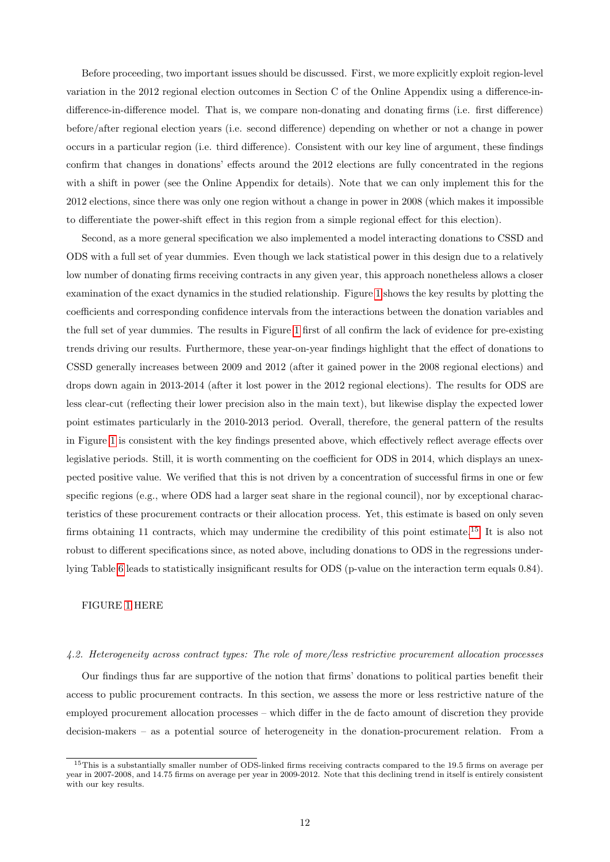Before proceeding, two important issues should be discussed. First, we more explicitly exploit region-level variation in the 2012 regional election outcomes in Section C of the Online Appendix using a difference-indifference-in-difference model. That is, we compare non-donating and donating firms (i.e. first difference) before/after regional election years (i.e. second difference) depending on whether or not a change in power occurs in a particular region (i.e. third difference). Consistent with our key line of argument, these findings confirm that changes in donations' effects around the 2012 elections are fully concentrated in the regions with a shift in power (see the Online Appendix for details). Note that we can only implement this for the 2012 elections, since there was only one region without a change in power in 2008 (which makes it impossible to differentiate the power-shift effect in this region from a simple regional effect for this election).

Second, as a more general specification we also implemented a model interacting donations to CSSD and ODS with a full set of year dummies. Even though we lack statistical power in this design due to a relatively low number of donating firms receiving contracts in any given year, this approach nonetheless allows a closer examination of the exact dynamics in the studied relationship. Figure [1](#page-28-0) shows the key results by plotting the coefficients and corresponding confidence intervals from the interactions between the donation variables and the full set of year dummies. The results in Figure [1](#page-28-0) first of all confirm the lack of evidence for pre-existing trends driving our results. Furthermore, these year-on-year findings highlight that the effect of donations to CSSD generally increases between 2009 and 2012 (after it gained power in the 2008 regional elections) and drops down again in 2013-2014 (after it lost power in the 2012 regional elections). The results for ODS are less clear-cut (reflecting their lower precision also in the main text), but likewise display the expected lower point estimates particularly in the 2010-2013 period. Overall, therefore, the general pattern of the results in Figure [1](#page-28-0) is consistent with the key findings presented above, which effectively reflect average effects over legislative periods. Still, it is worth commenting on the coefficient for ODS in 2014, which displays an unexpected positive value. We verified that this is not driven by a concentration of successful firms in one or few specific regions (e.g., where ODS had a larger seat share in the regional council), nor by exceptional characteristics of these procurement contracts or their allocation process. Yet, this estimate is based on only seven firms obtaining 11 contracts, which may undermine the credibility of this point estimate.[15](#page-12-0) It is also not robust to different specifications since, as noted above, including donations to ODS in the regressions underlying Table [6](#page-27-0) leads to statistically insignificant results for ODS (p-value on the interaction term equals 0.84).

#### FIGURE [1](#page-28-0) HERE

### 4.2. Heterogeneity across contract types: The role of more/less restrictive procurement allocation processes

Our findings thus far are supportive of the notion that firms' donations to political parties benefit their access to public procurement contracts. In this section, we assess the more or less restrictive nature of the employed procurement allocation processes – which differ in the de facto amount of discretion they provide decision-makers – as a potential source of heterogeneity in the donation-procurement relation. From a

<span id="page-12-0"></span><sup>&</sup>lt;sup>15</sup>This is a substantially smaller number of ODS-linked firms receiving contracts compared to the 19.5 firms on average per year in 2007-2008, and 14.75 firms on average per year in 2009-2012. Note that this declining trend in itself is entirely consistent with our key results.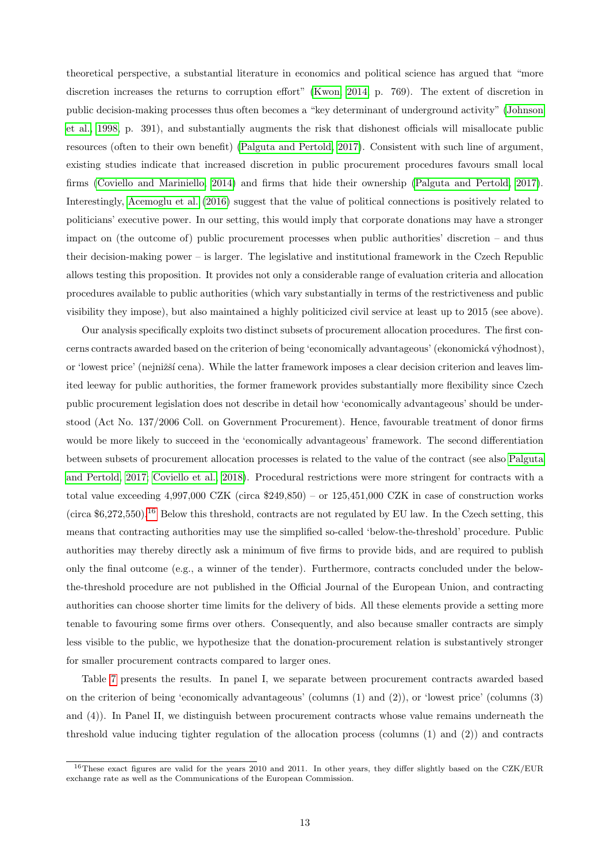theoretical perspective, a substantial literature in economics and political science has argued that "more discretion increases the returns to corruption effort" [\(Kwon, 2014,](#page-20-10) p. 769). The extent of discretion in public decision-making processes thus often becomes a "key determinant of underground activity" [\(Johnson](#page-20-9) [et al., 1998,](#page-20-9) p. 391), and substantially augments the risk that dishonest officials will misallocate public resources (often to their own benefit) [\(Palguta and Pertold, 2017\)](#page-20-4). Consistent with such line of argument, existing studies indicate that increased discretion in public procurement procedures favours small local firms [\(Coviello and Mariniello, 2014\)](#page-19-5) and firms that hide their ownership [\(Palguta and Pertold, 2017\)](#page-20-4). Interestingly, [Acemoglu et al.](#page-19-10) [\(2016\)](#page-19-10) suggest that the value of political connections is positively related to politicians' executive power. In our setting, this would imply that corporate donations may have a stronger impact on (the outcome of) public procurement processes when public authorities' discretion – and thus their decision-making power – is larger. The legislative and institutional framework in the Czech Republic allows testing this proposition. It provides not only a considerable range of evaluation criteria and allocation procedures available to public authorities (which vary substantially in terms of the restrictiveness and public visibility they impose), but also maintained a highly politicized civil service at least up to 2015 (see above).

Our analysis specifically exploits two distinct subsets of procurement allocation procedures. The first concerns contracts awarded based on the criterion of being 'economically advantageous' (ekonomická výhodnost), or 'lowest price' (nejnižší cena). While the latter framework imposes a clear decision criterion and leaves limited leeway for public authorities, the former framework provides substantially more flexibility since Czech public procurement legislation does not describe in detail how 'economically advantageous' should be understood (Act No. 137/2006 Coll. on Government Procurement). Hence, favourable treatment of donor firms would be more likely to succeed in the 'economically advantageous' framework. The second differentiation between subsets of procurement allocation processes is related to the value of the contract (see also [Palguta](#page-20-4) [and Pertold, 2017;](#page-20-4) [Coviello et al., 2018\)](#page-19-6). Procedural restrictions were more stringent for contracts with a total value exceeding 4,997,000 CZK (circa \$249,850) – or 125,451,000 CZK in case of construction works  $(circa $6.272.550).$ <sup>[16](#page-13-0)</sup> Below this threshold, contracts are not regulated by EU law. In the Czech setting, this means that contracting authorities may use the simplified so-called 'below-the-threshold' procedure. Public authorities may thereby directly ask a minimum of five firms to provide bids, and are required to publish only the final outcome (e.g., a winner of the tender). Furthermore, contracts concluded under the belowthe-threshold procedure are not published in the Official Journal of the European Union, and contracting authorities can choose shorter time limits for the delivery of bids. All these elements provide a setting more tenable to favouring some firms over others. Consequently, and also because smaller contracts are simply less visible to the public, we hypothesize that the donation-procurement relation is substantively stronger for smaller procurement contracts compared to larger ones.

Table [7](#page-29-0) presents the results. In panel I, we separate between procurement contracts awarded based on the criterion of being 'economically advantageous' (columns (1) and (2)), or 'lowest price' (columns (3) and (4)). In Panel II, we distinguish between procurement contracts whose value remains underneath the threshold value inducing tighter regulation of the allocation process (columns (1) and (2)) and contracts

<span id="page-13-0"></span><sup>&</sup>lt;sup>16</sup>These exact figures are valid for the years 2010 and 2011. In other years, they differ slightly based on the CZK/EUR exchange rate as well as the Communications of the European Commission.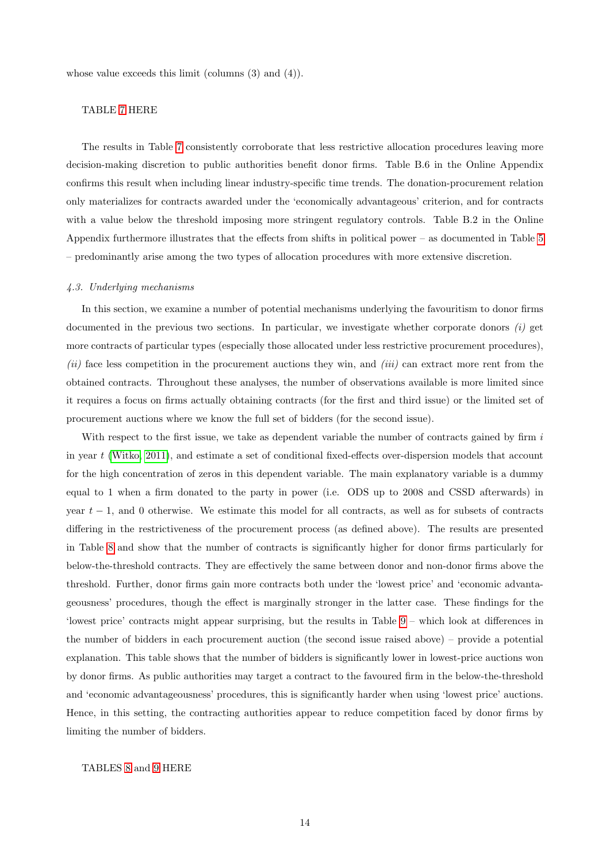whose value exceeds this limit (columns  $(3)$  and  $(4)$ ).

# TABLE [7](#page-29-0) HERE

The results in Table [7](#page-29-0) consistently corroborate that less restrictive allocation procedures leaving more decision-making discretion to public authorities benefit donor firms. Table B.6 in the Online Appendix confirms this result when including linear industry-specific time trends. The donation-procurement relation only materializes for contracts awarded under the 'economically advantageous' criterion, and for contracts with a value below the threshold imposing more stringent regulatory controls. Table B.2 in the Online Appendix furthermore illustrates that the effects from shifts in political power – as documented in Table [5](#page-26-0) – predominantly arise among the two types of allocation procedures with more extensive discretion.

### 4.3. Underlying mechanisms

In this section, we examine a number of potential mechanisms underlying the favouritism to donor firms documented in the previous two sections. In particular, we investigate whether corporate donors  $(i)$  get more contracts of particular types (especially those allocated under less restrictive procurement procedures), (ii) face less competition in the procurement auctions they win, and (iii) can extract more rent from the obtained contracts. Throughout these analyses, the number of observations available is more limited since it requires a focus on firms actually obtaining contracts (for the first and third issue) or the limited set of procurement auctions where we know the full set of bidders (for the second issue).

With respect to the first issue, we take as dependent variable the number of contracts gained by firm i in year t [\(Witko, 2011\)](#page-21-3), and estimate a set of conditional fixed-effects over-dispersion models that account for the high concentration of zeros in this dependent variable. The main explanatory variable is a dummy equal to 1 when a firm donated to the party in power (i.e. ODS up to 2008 and CSSD afterwards) in year  $t - 1$ , and 0 otherwise. We estimate this model for all contracts, as well as for subsets of contracts differing in the restrictiveness of the procurement process (as defined above). The results are presented in Table [8](#page-30-0) and show that the number of contracts is significantly higher for donor firms particularly for below-the-threshold contracts. They are effectively the same between donor and non-donor firms above the threshold. Further, donor firms gain more contracts both under the 'lowest price' and 'economic advantageousness' procedures, though the effect is marginally stronger in the latter case. These findings for the 'lowest price' contracts might appear surprising, but the results in Table [9](#page-31-0) – which look at differences in the number of bidders in each procurement auction (the second issue raised above) – provide a potential explanation. This table shows that the number of bidders is significantly lower in lowest-price auctions won by donor firms. As public authorities may target a contract to the favoured firm in the below-the-threshold and 'economic advantageousness' procedures, this is significantly harder when using 'lowest price' auctions. Hence, in this setting, the contracting authorities appear to reduce competition faced by donor firms by limiting the number of bidders.

### TABLES [8](#page-30-0) and [9](#page-31-0) HERE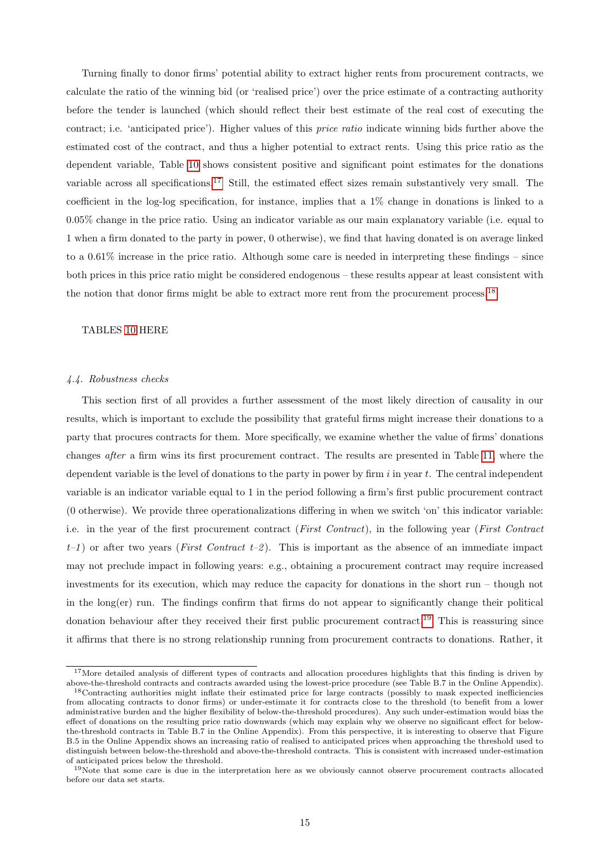Turning finally to donor firms' potential ability to extract higher rents from procurement contracts, we calculate the ratio of the winning bid (or 'realised price') over the price estimate of a contracting authority before the tender is launched (which should reflect their best estimate of the real cost of executing the contract; i.e. 'anticipated price'). Higher values of this price ratio indicate winning bids further above the estimated cost of the contract, and thus a higher potential to extract rents. Using this price ratio as the dependent variable, Table [10](#page-32-0) shows consistent positive and significant point estimates for the donations variable across all specifications.[17](#page-15-1) Still, the estimated effect sizes remain substantively very small. The coefficient in the log-log specification, for instance, implies that a 1% change in donations is linked to a 0.05% change in the price ratio. Using an indicator variable as our main explanatory variable (i.e. equal to 1 when a firm donated to the party in power, 0 otherwise), we find that having donated is on average linked to a 0.61% increase in the price ratio. Although some care is needed in interpreting these findings – since both prices in this price ratio might be considered endogenous – these results appear at least consistent with the notion that donor firms might be able to extract more rent from the procurement process.<sup>[18](#page-15-2)</sup>

# TABLES [10](#page-32-0) HERE

### <span id="page-15-0"></span>4.4. Robustness checks

This section first of all provides a further assessment of the most likely direction of causality in our results, which is important to exclude the possibility that grateful firms might increase their donations to a party that procures contracts for them. More specifically, we examine whether the value of firms' donations changes after a firm wins its first procurement contract. The results are presented in Table [11,](#page-33-0) where the dependent variable is the level of donations to the party in power by firm  $i$  in year  $t$ . The central independent variable is an indicator variable equal to 1 in the period following a firm's first public procurement contract (0 otherwise). We provide three operationalizations differing in when we switch 'on' this indicator variable: i.e. in the year of the first procurement contract (First Contract), in the following year (First Contract  $t-1$  or after two years (*First Contract t-2*). This is important as the absence of an immediate impact may not preclude impact in following years: e.g., obtaining a procurement contract may require increased investments for its execution, which may reduce the capacity for donations in the short run – though not in the long(er) run. The findings confirm that firms do not appear to significantly change their political donation behaviour after they received their first public procurement contract.<sup>[19](#page-15-3)</sup> This is reassuring since it affirms that there is no strong relationship running from procurement contracts to donations. Rather, it

<span id="page-15-1"></span><sup>&</sup>lt;sup>17</sup>More detailed analysis of different types of contracts and allocation procedures highlights that this finding is driven by above-the-threshold contracts and contracts awarded using the lowest-price procedure (see Table B.7 in the Online Appendix).

<span id="page-15-2"></span><sup>18</sup>Contracting authorities might inflate their estimated price for large contracts (possibly to mask expected inefficiencies from allocating contracts to donor firms) or under-estimate it for contracts close to the threshold (to benefit from a lower administrative burden and the higher flexibility of below-the-threshold procedures). Any such under-estimation would bias the effect of donations on the resulting price ratio downwards (which may explain why we observe no significant effect for belowthe-threshold contracts in Table B.7 in the Online Appendix). From this perspective, it is interesting to observe that Figure B.5 in the Online Appendix shows an increasing ratio of realised to anticipated prices when approaching the threshold used to distinguish between below-the-threshold and above-the-threshold contracts. This is consistent with increased under-estimation of anticipated prices below the threshold.

<span id="page-15-3"></span><sup>&</sup>lt;sup>19</sup>Note that some care is due in the interpretation here as we obviously cannot observe procurement contracts allocated before our data set starts.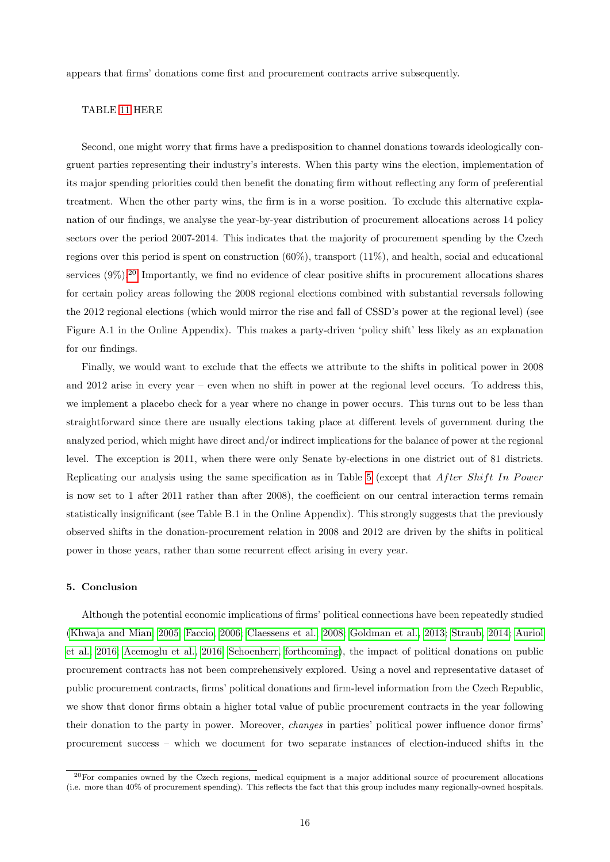appears that firms' donations come first and procurement contracts arrive subsequently.

# TABLE [11](#page-33-0) HERE

Second, one might worry that firms have a predisposition to channel donations towards ideologically congruent parties representing their industry's interests. When this party wins the election, implementation of its major spending priorities could then benefit the donating firm without reflecting any form of preferential treatment. When the other party wins, the firm is in a worse position. To exclude this alternative explanation of our findings, we analyse the year-by-year distribution of procurement allocations across 14 policy sectors over the period 2007-2014. This indicates that the majority of procurement spending by the Czech regions over this period is spent on construction (60%), transport (11%), and health, social and educational services  $(9\%)$ .<sup>[20](#page-16-1)</sup> Importantly, we find no evidence of clear positive shifts in procurement allocations shares for certain policy areas following the 2008 regional elections combined with substantial reversals following the 2012 regional elections (which would mirror the rise and fall of CSSD's power at the regional level) (see Figure A.1 in the Online Appendix). This makes a party-driven 'policy shift' less likely as an explanation for our findings.

Finally, we would want to exclude that the effects we attribute to the shifts in political power in 2008 and 2012 arise in every year – even when no shift in power at the regional level occurs. To address this, we implement a placebo check for a year where no change in power occurs. This turns out to be less than straightforward since there are usually elections taking place at different levels of government during the analyzed period, which might have direct and/or indirect implications for the balance of power at the regional level. The exception is 2011, when there were only Senate by-elections in one district out of 81 districts. Replicating our analysis using the same specification as in Table [5](#page-26-0) (except that After Shift In Power is now set to 1 after 2011 rather than after 2008), the coefficient on our central interaction terms remain statistically insignificant (see Table B.1 in the Online Appendix). This strongly suggests that the previously observed shifts in the donation-procurement relation in 2008 and 2012 are driven by the shifts in political power in those years, rather than some recurrent effect arising in every year.

### <span id="page-16-0"></span>5. Conclusion

Although the potential economic implications of firms' political connections have been repeatedly studied [\(Khwaja and Mian, 2005;](#page-20-14) [Faccio, 2006;](#page-19-15) [Claessens et al., 2008;](#page-19-16) [Goldman et al., 2013;](#page-20-12) [Straub, 2014;](#page-20-15) [Auriol](#page-19-17) [et al., 2016;](#page-19-17) [Acemoglu et al., 2016;](#page-19-10) [Schoenherr, forthcoming\)](#page-20-16), the impact of political donations on public procurement contracts has not been comprehensively explored. Using a novel and representative dataset of public procurement contracts, firms' political donations and firm-level information from the Czech Republic, we show that donor firms obtain a higher total value of public procurement contracts in the year following their donation to the party in power. Moreover, changes in parties' political power influence donor firms' procurement success – which we document for two separate instances of election-induced shifts in the

<span id="page-16-1"></span> $20$ For companies owned by the Czech regions, medical equipment is a major additional source of procurement allocations (i.e. more than 40% of procurement spending). This reflects the fact that this group includes many regionally-owned hospitals.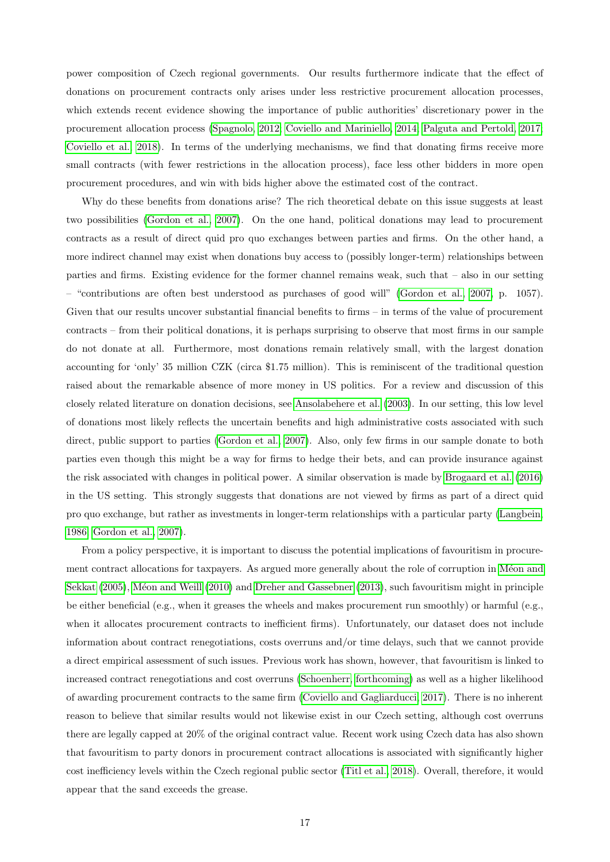power composition of Czech regional governments. Our results furthermore indicate that the effect of donations on procurement contracts only arises under less restrictive procurement allocation processes, which extends recent evidence showing the importance of public authorities' discretionary power in the procurement allocation process [\(Spagnolo, 2012;](#page-20-3) [Coviello and Mariniello, 2014;](#page-19-5) [Palguta and Pertold, 2017;](#page-20-4) [Coviello et al., 2018\)](#page-19-6). In terms of the underlying mechanisms, we find that donating firms receive more small contracts (with fewer restrictions in the allocation process), face less other bidders in more open procurement procedures, and win with bids higher above the estimated cost of the contract.

Why do these benefits from donations arise? The rich theoretical debate on this issue suggests at least two possibilities [\(Gordon et al., 2007\)](#page-20-17). On the one hand, political donations may lead to procurement contracts as a result of direct quid pro quo exchanges between parties and firms. On the other hand, a more indirect channel may exist when donations buy access to (possibly longer-term) relationships between parties and firms. Existing evidence for the former channel remains weak, such that – also in our setting – "contributions are often best understood as purchases of good will" [\(Gordon et al., 2007,](#page-20-17) p. 1057). Given that our results uncover substantial financial benefits to firms – in terms of the value of procurement contracts – from their political donations, it is perhaps surprising to observe that most firms in our sample do not donate at all. Furthermore, most donations remain relatively small, with the largest donation accounting for 'only' 35 million CZK (circa \$1.75 million). This is reminiscent of the traditional question raised about the remarkable absence of more money in US politics. For a review and discussion of this closely related literature on donation decisions, see [Ansolabehere et al.](#page-19-7) [\(2003\)](#page-19-7). In our setting, this low level of donations most likely reflects the uncertain benefits and high administrative costs associated with such direct, public support to parties [\(Gordon et al., 2007\)](#page-20-17). Also, only few firms in our sample donate to both parties even though this might be a way for firms to hedge their bets, and can provide insurance against the risk associated with changes in political power. A similar observation is made by [Brogaard et al.](#page-19-3) [\(2016\)](#page-19-3) in the US setting. This strongly suggests that donations are not viewed by firms as part of a direct quid pro quo exchange, but rather as investments in longer-term relationships with a particular party [\(Langbein,](#page-20-18) [1986;](#page-20-18) [Gordon et al., 2007\)](#page-20-17).

From a policy perspective, it is important to discuss the potential implications of favouritism in procurement contract allocations for taxpayers. As argued more generally about the role of corruption in Méon and [Sekkat](#page-20-19) [\(2005\)](#page-20-19), Méon and Weill [\(2010\)](#page-20-20) and [Dreher and Gassebner](#page-19-18) [\(2013\)](#page-19-18), such favouritism might in principle be either beneficial (e.g., when it greases the wheels and makes procurement run smoothly) or harmful (e.g., when it allocates procurement contracts to inefficient firms). Unfortunately, our dataset does not include information about contract renegotiations, costs overruns and/or time delays, such that we cannot provide a direct empirical assessment of such issues. Previous work has shown, however, that favouritism is linked to increased contract renegotiations and cost overruns [\(Schoenherr, forthcoming\)](#page-20-16) as well as a higher likelihood of awarding procurement contracts to the same firm [\(Coviello and Gagliarducci, 2017\)](#page-19-9). There is no inherent reason to believe that similar results would not likewise exist in our Czech setting, although cost overruns there are legally capped at 20% of the original contract value. Recent work using Czech data has also shown that favouritism to party donors in procurement contract allocations is associated with significantly higher cost inefficiency levels within the Czech regional public sector [\(Titl et al., 2018\)](#page-20-21). Overall, therefore, it would appear that the sand exceeds the grease.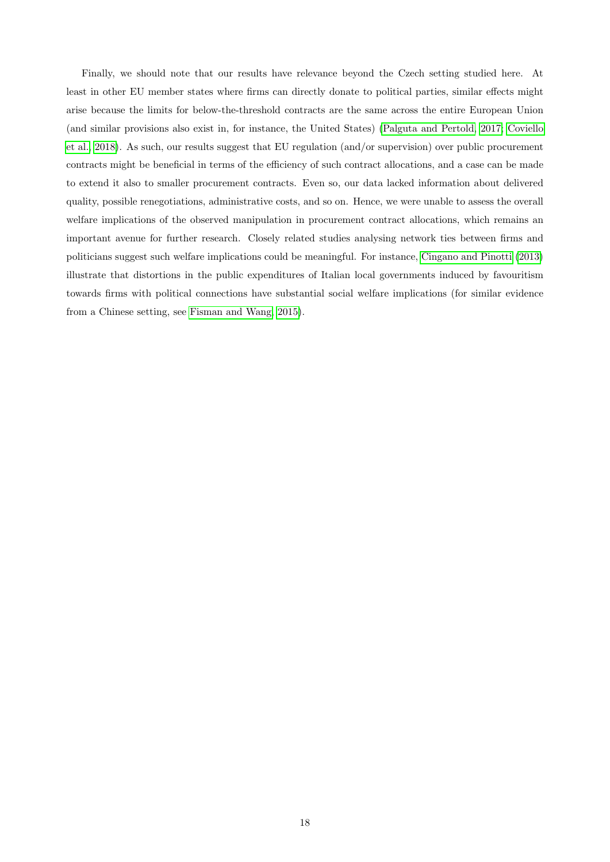Finally, we should note that our results have relevance beyond the Czech setting studied here. At least in other EU member states where firms can directly donate to political parties, similar effects might arise because the limits for below-the-threshold contracts are the same across the entire European Union (and similar provisions also exist in, for instance, the United States) [\(Palguta and Pertold, 2017;](#page-20-4) [Coviello](#page-19-6) [et al., 2018\)](#page-19-6). As such, our results suggest that EU regulation (and/or supervision) over public procurement contracts might be beneficial in terms of the efficiency of such contract allocations, and a case can be made to extend it also to smaller procurement contracts. Even so, our data lacked information about delivered quality, possible renegotiations, administrative costs, and so on. Hence, we were unable to assess the overall welfare implications of the observed manipulation in procurement contract allocations, which remains an important avenue for further research. Closely related studies analysing network ties between firms and politicians suggest such welfare implications could be meaningful. For instance, [Cingano and Pinotti](#page-19-11) [\(2013\)](#page-19-11) illustrate that distortions in the public expenditures of Italian local governments induced by favouritism towards firms with political connections have substantial social welfare implications (for similar evidence from a Chinese setting, see [Fisman and Wang, 2015\)](#page-20-22).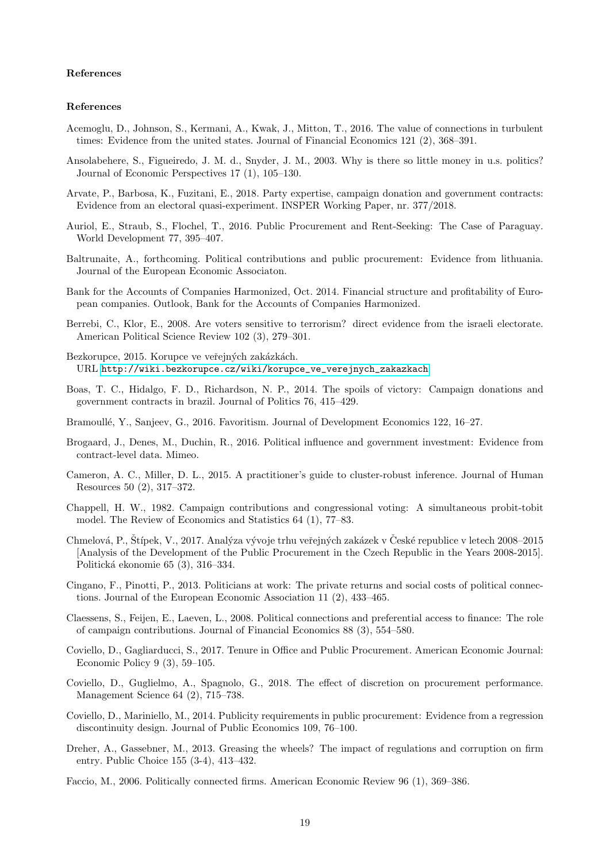# References

### References

- <span id="page-19-10"></span>Acemoglu, D., Johnson, S., Kermani, A., Kwak, J., Mitton, T., 2016. The value of connections in turbulent times: Evidence from the united states. Journal of Financial Economics 121 (2), 368–391.
- <span id="page-19-7"></span>Ansolabehere, S., Figueiredo, J. M. d., Snyder, J. M., 2003. Why is there so little money in u.s. politics? Journal of Economic Perspectives 17 (1), 105–130.
- <span id="page-19-2"></span>Arvate, P., Barbosa, K., Fuzitani, E., 2018. Party expertise, campaign donation and government contracts: Evidence from an electoral quasi-experiment. INSPER Working Paper, nr. 377/2018.
- <span id="page-19-17"></span>Auriol, E., Straub, S., Flochel, T., 2016. Public Procurement and Rent-Seeking: The Case of Paraguay. World Development 77, 395–407.
- <span id="page-19-4"></span>Baltrunaite, A., forthcoming. Political contributions and public procurement: Evidence from lithuania. Journal of the European Economic Associaton.
- Bank for the Accounts of Companies Harmonized, Oct. 2014. Financial structure and profitability of European companies. Outlook, Bank for the Accounts of Companies Harmonized.
- <span id="page-19-14"></span>Berrebi, C., Klor, E., 2008. Are voters sensitive to terrorism? direct evidence from the israeli electorate. American Political Science Review 102 (3), 279–301.
- Bezkorupce, 2015. Korupce ve veřejných zakázkách. URL [http://wiki.bezkorupce.cz/wiki/korupce\\_ve\\_verejnych\\_zakazkach](http://wiki.bezkorupce.cz/wiki/korupce_ve_verejnych_zakazkach)
- <span id="page-19-1"></span>Boas, T. C., Hidalgo, F. D., Richardson, N. P., 2014. The spoils of victory: Campaign donations and government contracts in brazil. Journal of Politics 76, 415–429.
- <span id="page-19-0"></span>Bramoullé, Y., Sanjeev, G., 2016. Favoritism. Journal of Development Economics 122, 16–27.
- <span id="page-19-3"></span>Brogaard, J., Denes, M., Duchin, R., 2016. Political influence and government investment: Evidence from contract-level data. Mimeo.
- <span id="page-19-13"></span>Cameron, A. C., Miller, D. L., 2015. A practitioner's guide to cluster-robust inference. Journal of Human Resources 50 (2), 317–372.
- <span id="page-19-8"></span>Chappell, H. W., 1982. Campaign contributions and congressional voting: A simultaneous probit-tobit model. The Review of Economics and Statistics 64 (1), 77–83.
- <span id="page-19-12"></span>Chmelová, P., Štípek, V., 2017. Analýza vývoje trhu veřejných zakázek v České republice v letech 2008–2015 [Analysis of the Development of the Public Procurement in the Czech Republic in the Years 2008-2015]. Politick´a ekonomie 65 (3), 316–334.
- <span id="page-19-11"></span>Cingano, F., Pinotti, P., 2013. Politicians at work: The private returns and social costs of political connections. Journal of the European Economic Association 11 (2), 433–465.
- <span id="page-19-16"></span>Claessens, S., Feijen, E., Laeven, L., 2008. Political connections and preferential access to finance: The role of campaign contributions. Journal of Financial Economics 88 (3), 554–580.
- <span id="page-19-9"></span>Coviello, D., Gagliarducci, S., 2017. Tenure in Office and Public Procurement. American Economic Journal: Economic Policy 9 (3), 59–105.
- <span id="page-19-6"></span>Coviello, D., Guglielmo, A., Spagnolo, G., 2018. The effect of discretion on procurement performance. Management Science 64 (2), 715–738.
- <span id="page-19-5"></span>Coviello, D., Mariniello, M., 2014. Publicity requirements in public procurement: Evidence from a regression discontinuity design. Journal of Public Economics 109, 76–100.
- <span id="page-19-18"></span>Dreher, A., Gassebner, M., 2013. Greasing the wheels? The impact of regulations and corruption on firm entry. Public Choice 155 (3-4), 413–432.
- <span id="page-19-15"></span>Faccio, M., 2006. Politically connected firms. American Economic Review 96 (1), 369–386.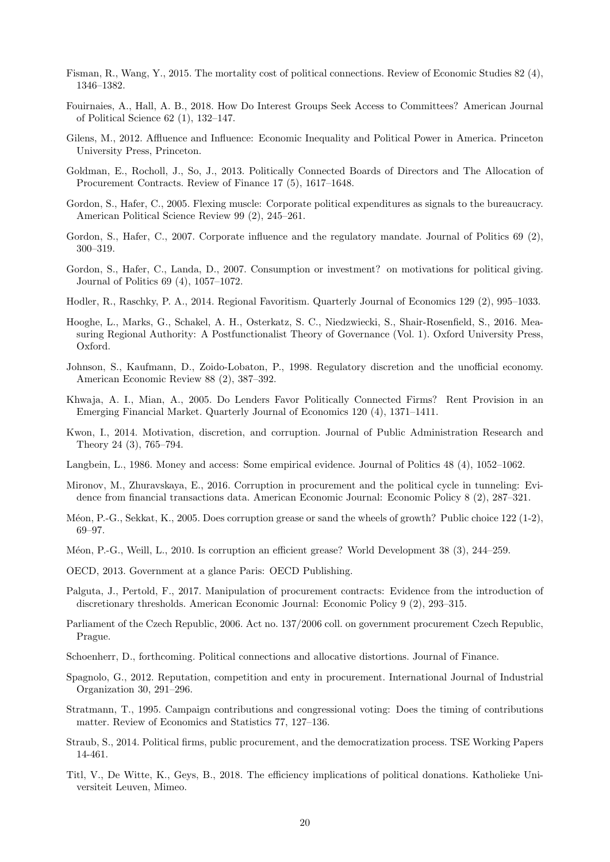- <span id="page-20-22"></span>Fisman, R., Wang, Y., 2015. The mortality cost of political connections. Review of Economic Studies 82 (4), 1346–1382.
- <span id="page-20-8"></span>Fouirnaies, A., Hall, A. B., 2018. How Do Interest Groups Seek Access to Committees? American Journal of Political Science 62 (1), 132–147.
- <span id="page-20-0"></span>Gilens, M., 2012. Affluence and Influence: Economic Inequality and Political Power in America. Princeton University Press, Princeton.
- <span id="page-20-12"></span>Goldman, E., Rocholl, J., So, J., 2013. Politically Connected Boards of Directors and The Allocation of Procurement Contracts. Review of Finance 17 (5), 1617–1648.
- <span id="page-20-5"></span>Gordon, S., Hafer, C., 2005. Flexing muscle: Corporate political expenditures as signals to the bureaucracy. American Political Science Review 99 (2), 245–261.
- <span id="page-20-6"></span>Gordon, S., Hafer, C., 2007. Corporate influence and the regulatory mandate. Journal of Politics 69 (2), 300–319.
- <span id="page-20-17"></span>Gordon, S., Hafer, C., Landa, D., 2007. Consumption or investment? on motivations for political giving. Journal of Politics 69 (4), 1057–1072.
- <span id="page-20-1"></span>Hodler, R., Raschky, P. A., 2014. Regional Favoritism. Quarterly Journal of Economics 129 (2), 995–1033.
- <span id="page-20-11"></span>Hooghe, L., Marks, G., Schakel, A. H., Osterkatz, S. C., Niedzwiecki, S., Shair-Rosenfield, S., 2016. Measuring Regional Authority: A Postfunctionalist Theory of Governance (Vol. 1). Oxford University Press, Oxford.
- <span id="page-20-9"></span>Johnson, S., Kaufmann, D., Zoido-Lobaton, P., 1998. Regulatory discretion and the unofficial economy. American Economic Review 88 (2), 387–392.
- <span id="page-20-14"></span>Khwaja, A. I., Mian, A., 2005. Do Lenders Favor Politically Connected Firms? Rent Provision in an Emerging Financial Market. Quarterly Journal of Economics 120 (4), 1371–1411.
- <span id="page-20-10"></span>Kwon, I., 2014. Motivation, discretion, and corruption. Journal of Public Administration Research and Theory 24 (3), 765–794.
- <span id="page-20-18"></span>Langbein, L., 1986. Money and access: Some empirical evidence. Journal of Politics 48 (4), 1052–1062.
- <span id="page-20-13"></span>Mironov, M., Zhuravskaya, E., 2016. Corruption in procurement and the political cycle in tunneling: Evidence from financial transactions data. American Economic Journal: Economic Policy 8 (2), 287–321.
- <span id="page-20-19"></span>Méon, P.-G., Sekkat, K., 2005. Does corruption grease or sand the wheels of growth? Public choice 122 (1-2), 69–97.
- <span id="page-20-20"></span>Méon, P.-G., Weill, L., 2010. Is corruption an efficient grease? World Development 38 (3), 244–259.
- <span id="page-20-2"></span>OECD, 2013. Government at a glance Paris: OECD Publishing.
- <span id="page-20-4"></span>Palguta, J., Pertold, F., 2017. Manipulation of procurement contracts: Evidence from the introduction of discretionary thresholds. American Economic Journal: Economic Policy 9 (2), 293–315.
- Parliament of the Czech Republic, 2006. Act no. 137/2006 coll. on government procurement Czech Republic, Prague.
- <span id="page-20-16"></span>Schoenherr, D., forthcoming. Political connections and allocative distortions. Journal of Finance.
- <span id="page-20-3"></span>Spagnolo, G., 2012. Reputation, competition and enty in procurement. International Journal of Industrial Organization 30, 291–296.
- <span id="page-20-7"></span>Stratmann, T., 1995. Campaign contributions and congressional voting: Does the timing of contributions matter. Review of Economics and Statistics 77, 127–136.
- <span id="page-20-15"></span>Straub, S., 2014. Political firms, public procurement, and the democratization process. TSE Working Papers 14-461.
- <span id="page-20-21"></span>Titl, V., De Witte, K., Geys, B., 2018. The efficiency implications of political donations. Katholieke Universiteit Leuven, Mimeo.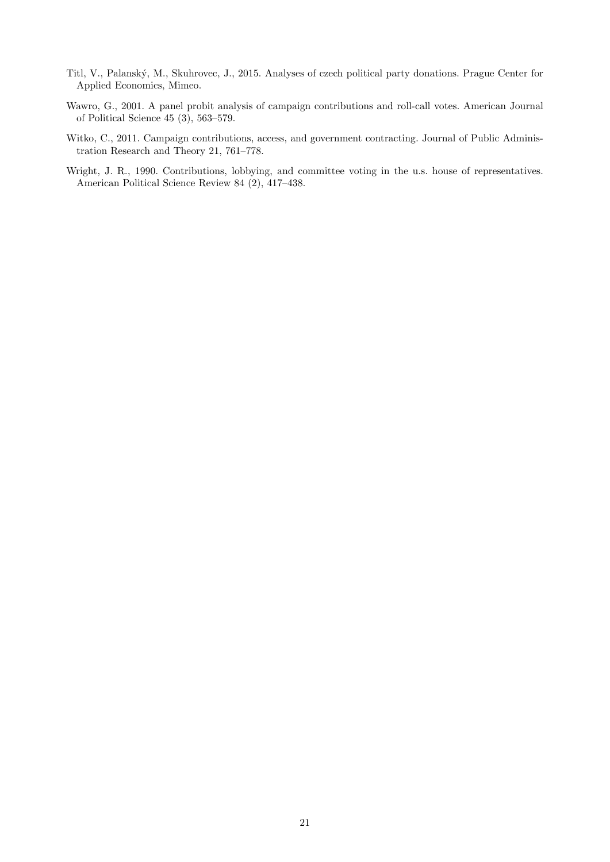- <span id="page-21-2"></span>Titl, V., Palansk´y, M., Skuhrovec, J., 2015. Analyses of czech political party donations. Prague Center for Applied Economics, Mimeo.
- <span id="page-21-1"></span>Wawro, G., 2001. A panel probit analysis of campaign contributions and roll-call votes. American Journal of Political Science 45 (3), 563–579.
- <span id="page-21-3"></span>Witko, C., 2011. Campaign contributions, access, and government contracting. Journal of Public Administration Research and Theory 21, 761–778.
- <span id="page-21-0"></span>Wright, J. R., 1990. Contributions, lobbying, and committee voting in the u.s. house of representatives. American Political Science Review 84 (2), 417–438.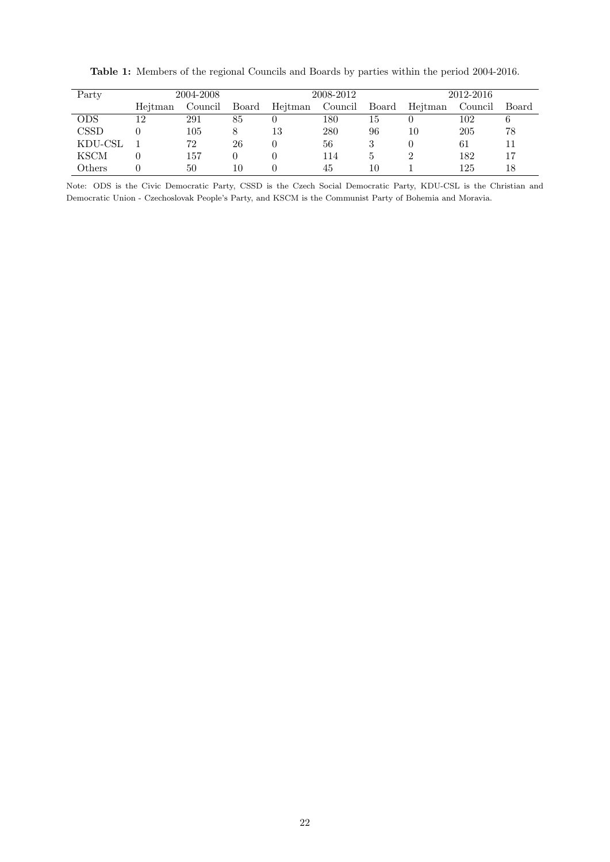| Party                       |         | 2004-2008 |          |         | 2008-2012 |       | 2012-2016 |         |       |
|-----------------------------|---------|-----------|----------|---------|-----------|-------|-----------|---------|-------|
|                             | Heitman | Council   | Board    | Heitman | Council   | Board | Heitman   | Council | Board |
| ODS                         | 12      | 291       | 85       |         | 180       | 15    |           | 102     | 6     |
| $\mathop{\rm CSS}\nolimits$ |         | 105       | 8        | 13      | 280       | 96    | 10        | 205     | 78    |
| KDU-CSL                     |         | 72        | 26       |         | 56        |       | 0         | 61      | 11    |
| <b>KSCM</b>                 |         | 157       | $\theta$ |         | 114       | 5     |           | 182     | 17    |
| Others                      |         | 50        | 10       |         | 45        | 10    |           | 125     | 18    |

<span id="page-22-0"></span>Table 1: Members of the regional Councils and Boards by parties within the period 2004-2016.

Note: ODS is the Civic Democratic Party, CSSD is the Czech Social Democratic Party, KDU-CSL is the Christian and Democratic Union - Czechoslovak People's Party, and KSCM is the Communist Party of Bohemia and Moravia.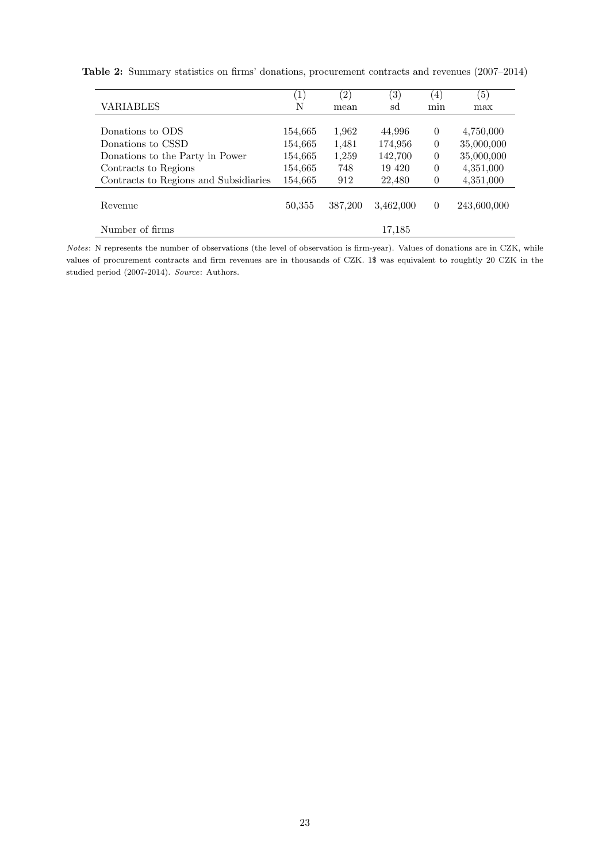|                                       | $\left( 1\right)$ | (2)     | $\left(3\right)$ | $\left( 4\right)$ | (5)         |
|---------------------------------------|-------------------|---------|------------------|-------------------|-------------|
| <b>VARIABLES</b>                      | N                 | mean    | sd               | min               | max         |
|                                       |                   |         |                  |                   |             |
| Donations to ODS                      | 154,665           | 1,962   | 44,996           | 0                 | 4,750,000   |
| Donations to CSSD                     | 154,665           | 1,481   | 174,956          | $\overline{0}$    | 35,000,000  |
| Donations to the Party in Power       | 154,665           | 1,259   | 142,700          | $\theta$          | 35,000,000  |
| Contracts to Regions                  | 154,665           | 748     | 19 4 20          | $\Omega$          | 4,351,000   |
| Contracts to Regions and Subsidiaries | 154,665           | 912     | 22,480           | $\theta$          | 4,351,000   |
| Revenue                               | 50,355            | 387,200 | 3,462,000        | $\Omega$          | 243,600,000 |
| Number of firms                       |                   |         | 17,185           |                   |             |

<span id="page-23-0"></span>Table 2: Summary statistics on firms' donations, procurement contracts and revenues (2007–2014)

Notes: N represents the number of observations (the level of observation is firm-year). Values of donations are in CZK, while values of procurement contracts and firm revenues are in thousands of CZK. 1\$ was equivalent to roughtly 20 CZK in the studied period (2007-2014). Source: Authors.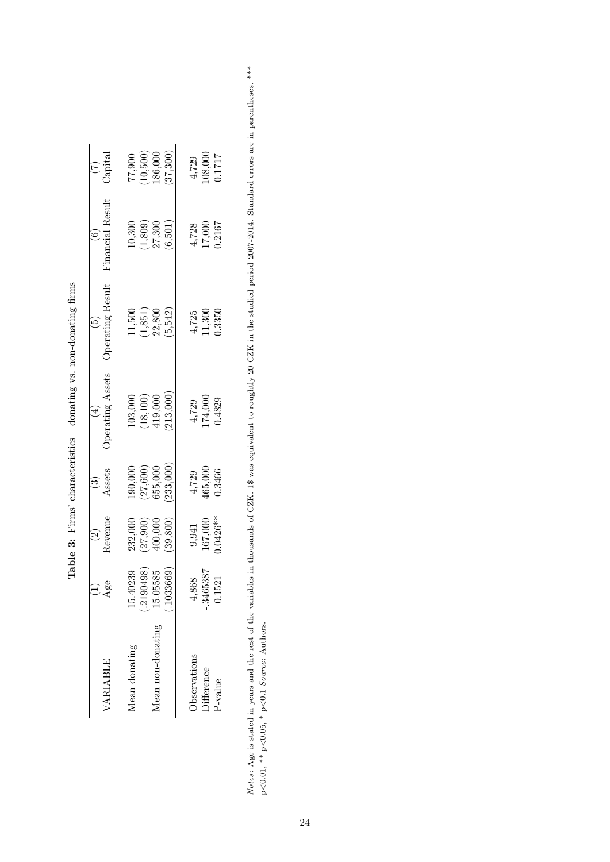| VARIABLE            | $\frac{2}{3}$                        | Revenue<br>$\widehat{c}$                                      | $\frac{(3)}{Assets}$                                                  | <b>Operating Assets</b>                                               | Operating Result                                                      | $\operatorname{Financial}$ Result                                     | $\binom{7}{3}$                                    |
|---------------------|--------------------------------------|---------------------------------------------------------------|-----------------------------------------------------------------------|-----------------------------------------------------------------------|-----------------------------------------------------------------------|-----------------------------------------------------------------------|---------------------------------------------------|
| Mean donating       |                                      |                                                               |                                                                       |                                                                       |                                                                       |                                                                       |                                                   |
|                     | $15.40239$<br>(.2190498)<br>15.05585 | $\begin{array}{c} 232,000 \\ (27,900) \\ 400,000 \end{array}$ | $\begin{array}{c} 190,000 \ (27,600) \ 655,000 \ 233,000 \end{array}$ | $\begin{array}{c} 103,000 \ (18,100) \ 419,000 \ 213,000 \end{array}$ | $\begin{array}{c} 11,500 \\ (1,851) \\ 22,800 \\ (5,542) \end{array}$ | $\begin{array}{c} 10,300 \\ (1,809) \\ 27,300 \\ (6,501) \end{array}$ | $77,900$<br>$(10,500)$<br>$186,000$<br>$(37,300)$ |
| Mean non-donating   |                                      |                                                               |                                                                       |                                                                       |                                                                       |                                                                       |                                                   |
|                     | .1033669                             | 39,800)                                                       |                                                                       |                                                                       |                                                                       |                                                                       |                                                   |
| <b>Deservations</b> | 4,868                                |                                                               |                                                                       |                                                                       |                                                                       |                                                                       |                                                   |
| $\square$           | .3465387                             | $\begin{array}{c} 9,941 \\ 167,000 \\ 0.0426** \end{array}$   | $4,729$<br>$465,000$<br>$0.3466$                                      | $4,729$<br>$174,000$<br>$0.4829$                                      | $\frac{4,725}{11,300}$<br>11,300                                      | $4,728$<br>17,000<br>0.2167                                           | $4,729$<br>08,000<br>0.1717                       |
| P-value             | 0.1521                               |                                                               |                                                                       |                                                                       |                                                                       |                                                                       |                                                   |

<span id="page-24-0"></span>Table 3: Firms' characteristics – donating vs. non-donating firms **Table 3:** Firms' characteristics – donating vs. non-donating firms Notes: Age is stated in years and the rest of the variables in thousands of CZK. 1\$ was equivalent to roughtly 20 CZK in the studied period 2007-2014. Standard errors are in parentheses. \*\*\* Notes: Age is stated in years and the rest of the variables in thousands of CZK. 1\$ was equivalent to roughtly 20 CZK in the studied period 2007-2014. Standard errors are in parentheses. \*\*\* p<0.01, \*\* p<0.05, \* p<0.1<br/>  $Source:$  Authors. p<0.01, \*\* p<0.05, \* p<0.1 Source: Authors.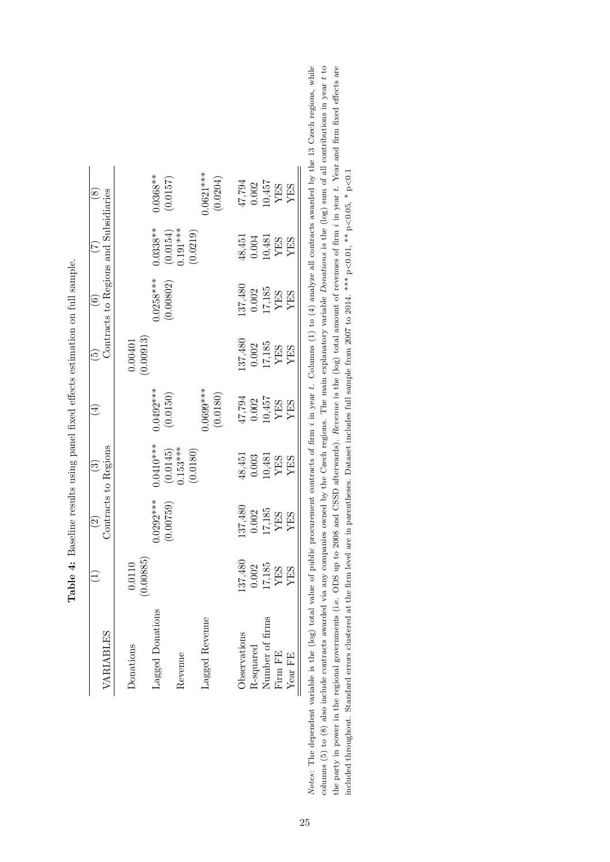| VARIABLES                    |                                                             | $\widehat{c}$                                              | Contracts to Regions<br>$\widetilde{\mathbb{C}}$                       | $\Xi$                                                                                                 | $\widetilde{\mathbf{P}}$                                   | Contracts to Regions and Subsidiaries<br>$\widehat{\mathfrak{s}}$                                      |                                                                   | $\widehat{\infty}$                                         |
|------------------------------|-------------------------------------------------------------|------------------------------------------------------------|------------------------------------------------------------------------|-------------------------------------------------------------------------------------------------------|------------------------------------------------------------|--------------------------------------------------------------------------------------------------------|-------------------------------------------------------------------|------------------------------------------------------------|
| Donations                    | 0.00885<br>0.0110                                           |                                                            |                                                                        |                                                                                                       | 0.00913<br>0.00401                                         |                                                                                                        |                                                                   |                                                            |
| Lagged Donations             |                                                             | $0.0292***$                                                | $0.0410***$                                                            | $0.0492***$                                                                                           |                                                            | $0.0258***$                                                                                            | $0.0338**$                                                        | $0.0368***$<br>(0.0157)                                    |
| Revenue                      |                                                             | (0.00759)                                                  | $(0.0145)$<br>0.153***<br>(0.0180)                                     | (0.0150)                                                                                              |                                                            | 0.00802)                                                                                               | $\begin{array}{c} (0.0154) \\ 0.191*** \\ (0.0219) \end{array}$   |                                                            |
| Lagged Revenue               |                                                             |                                                            |                                                                        | $0.0699***$<br>(0.0180)                                                                               |                                                            |                                                                                                        |                                                                   | $0.0621***$<br>(0.0204)                                    |
| Observations                 |                                                             |                                                            |                                                                        |                                                                                                       |                                                            |                                                                                                        |                                                                   |                                                            |
|                              |                                                             |                                                            | $\substack{48,451 \\ 0.003}$                                           |                                                                                                       |                                                            |                                                                                                        | $48,451$<br>$0.004$                                               |                                                            |
| R-squared<br>Number of firms | $^{137,480}_{0.002}$<br>$^{17,185}_{YES}$<br>$^{YES}_{YES}$ | $^{137,480}_{0.002}$<br>$^{17,185}_{17,185}$<br>YES<br>YES | $\begin{array}{c} 10{,}481 \\ \text{YES} \\ \text{YES} \\ \end{array}$ | $\begin{array}{c} 47,794 \\ 0.002 \\ 10,457 \\ \text{YES} \\ \text{YES} \\ \text{YES} \\ \end{array}$ | $^{137,480}_{0.002}$<br>$^{17,185}_{17,185}$<br>YES<br>YES | $\begin{array}{c} 137,480 \\ 0.002 \\ 17,185 \\ \hline YES \\ \hline YES \\ \hline YES \\ \end{array}$ |                                                                   | $^{47,794}_{10.002}$<br>$^{10.457}_{10.457}$<br>YES<br>YES |
| Firm ${\rm FE}$              |                                                             |                                                            |                                                                        |                                                                                                       |                                                            |                                                                                                        | $\begin{array}{c} 10,481 \\ \text{YES} \\ \text{YES} \end{array}$ |                                                            |
| Year FE                      |                                                             |                                                            |                                                                        |                                                                                                       |                                                            |                                                                                                        |                                                                   |                                                            |

<span id="page-25-0"></span>Table 4: Baseline results using panel fixed effects estimation on full sample. Table 4: Baseline results using panel fixed effects estimation on full sample.

columns  $(5)$  to  $(8)$  also include contracts awarded via any companies owned by the Czech regions. The main explanatory variable Donations is the  $(\log)$  sum of all contributions in year t to Notes: The dependent variable is the (log) total value of public procurement contracts of firm *i* in year t. Columns (1) to (4) analyze all contracts awarded by the 13 Czech regions, while the party in power in the regional governments (i.e. ODS up to 2008 and CSSD afterwards). Revenue is the (log) total amount of revenues of firm *i* in year t. Year and firm fixed effects are Notes: The dependent variable is the (log) total value of public procurement contracts of firm i in year t. Columns (1) to (4) analyze all contracts awarded by the 13 Czech regions, while columns  $(5)$  to  $(8)$  also include contracts awarded via any companies owned by the Czech regions. The main explanatory variable Donations is the  $(\log)$  sum of all contributions in year t to the party in power in the regional governments (i.e. ODS up to 2008 and CSSD afterwards). *Revenue* is the (log) total amount of revenues of firm *i* in year t. Year and firm fixed effects are included throughout. Standard errors clustered at the firm level are in parentheses. Dataset includes full sample from 2007 to 2014. \*\*\* p<0.01, \*\* p<0.05, \* p<0.1 included throughout. Standard errors clustered at the firm level are in parentheses. Dataset includes full sample from 2007 to 2014. \*\*\* p<0.05, \* p<0.16, \* p<0.1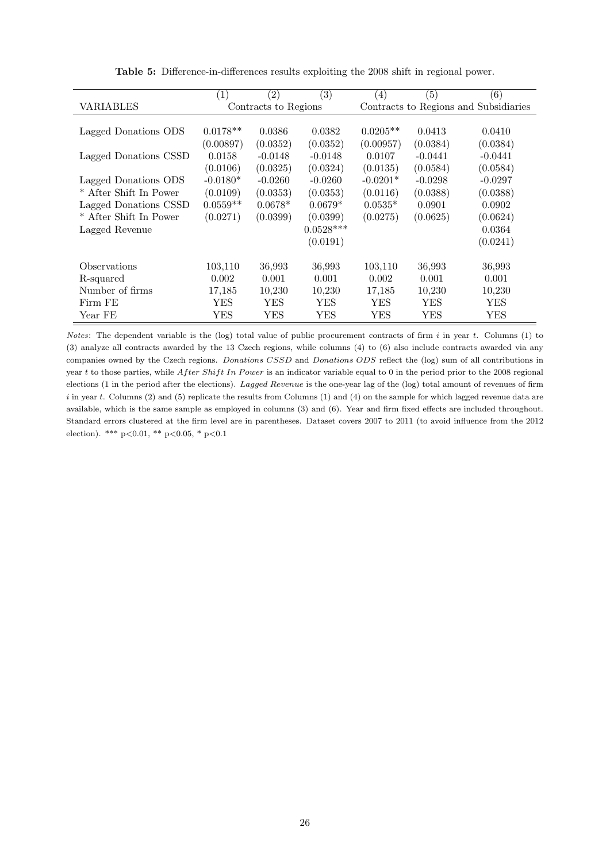<span id="page-26-0"></span>

|                        | (1)        | $\left( 2\right)$    | (3)         | (4)        | (5)       | (6)                                   |
|------------------------|------------|----------------------|-------------|------------|-----------|---------------------------------------|
| VARIABLES              |            | Contracts to Regions |             |            |           | Contracts to Regions and Subsidiaries |
|                        |            |                      |             |            |           |                                       |
| Lagged Donations ODS   | $0.0178**$ | 0.0386               | 0.0382      | $0.0205**$ | 0.0413    | 0.0410                                |
|                        | (0.00897)  | (0.0352)             | (0.0352)    | (0.00957)  | (0.0384)  | (0.0384)                              |
| Lagged Donations CSSD  | 0.0158     | $-0.0148$            | $-0.0148$   | 0.0107     | $-0.0441$ | $-0.0441$                             |
|                        | (0.0106)   | (0.0325)             | (0.0324)    | (0.0135)   | (0.0584)  | (0.0584)                              |
| Lagged Donations ODS   | $-0.0180*$ | $-0.0260$            | $-0.0260$   | $-0.0201*$ | $-0.0298$ | $-0.0297$                             |
| * After Shift In Power | (0.0109)   | (0.0353)             | (0.0353)    | (0.0116)   | (0.0388)  | (0.0388)                              |
| Lagged Donations CSSD  | $0.0559**$ | $0.0678*$            | $0.0679*$   | $0.0535*$  | 0.0901    | 0.0902                                |
| * After Shift In Power | (0.0271)   | (0.0399)             | (0.0399)    | (0.0275)   | (0.0625)  | (0.0624)                              |
| Lagged Revenue         |            |                      | $0.0528***$ |            |           | 0.0364                                |
|                        |            |                      | (0.0191)    |            |           | (0.0241)                              |
| Observations           | 103,110    | 36,993               | 36,993      | 103,110    | 36,993    | 36,993                                |
| R-squared              | 0.002      | 0.001                | 0.001       | 0.002      | 0.001     | 0.001                                 |
| Number of firms        | 17,185     | 10,230               | 10,230      | 17,185     | 10,230    | 10,230                                |
| Firm FE                | YES        | YES                  | YES         | YES        | YES       | YES                                   |
| Year FE                | YES        | YES                  | YES         | YES        | YES       | YES                                   |

Table 5: Difference-in-differences results exploiting the 2008 shift in regional power.

Notes: The dependent variable is the (log) total value of public procurement contracts of firm  $i$  in year  $t$ . Columns (1) to (3) analyze all contracts awarded by the 13 Czech regions, while columns (4) to (6) also include contracts awarded via any companies owned by the Czech regions. Donations CSSD and Donations ODS reflect the (log) sum of all contributions in year t to those parties, while After Shift In Power is an indicator variable equal to 0 in the period prior to the 2008 regional elections (1 in the period after the elections). Lagged Revenue is the one-year lag of the (log) total amount of revenues of firm  $i$  in year t. Columns (2) and (5) replicate the results from Columns (1) and (4) on the sample for which lagged revenue data are available, which is the same sample as employed in columns (3) and (6). Year and firm fixed effects are included throughout. Standard errors clustered at the firm level are in parentheses. Dataset covers 2007 to 2011 (to avoid influence from the 2012 election). \*\*\*  $p<0.01$ , \*\*  $p<0.05$ , \*  $p<0.1$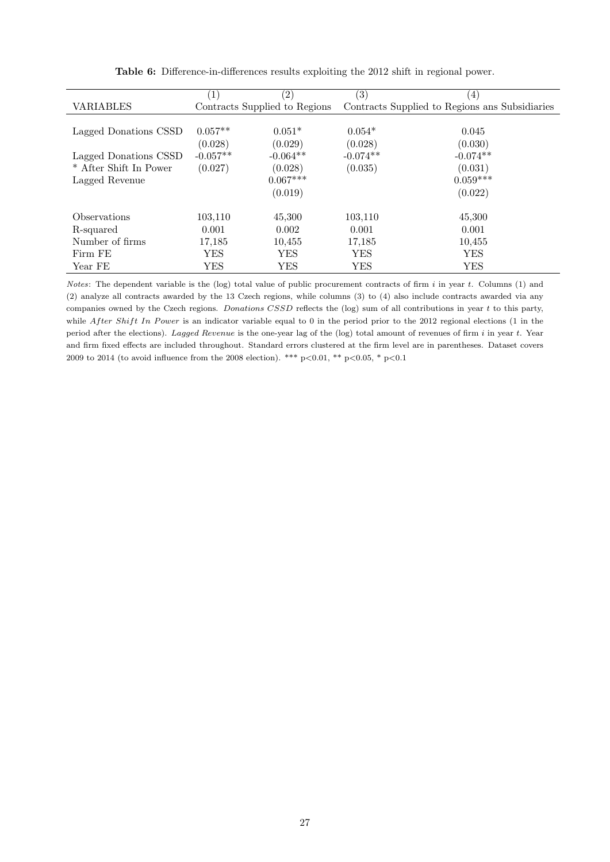<span id="page-27-0"></span>

|                        | (1)        | $\left( 2\right)$             | (3)        | (4)                                            |
|------------------------|------------|-------------------------------|------------|------------------------------------------------|
| <b>VARIABLES</b>       |            | Contracts Supplied to Regions |            | Contracts Supplied to Regions ans Subsidiaries |
|                        |            |                               |            |                                                |
| Lagged Donations CSSD  | $0.057**$  | $0.051*$                      | $0.054*$   | 0.045                                          |
|                        | (0.028)    | (0.029)                       | (0.028)    | (0.030)                                        |
| Lagged Donations CSSD  | $-0.057**$ | $-0.064**$                    | $-0.074**$ | $-0.074**$                                     |
| * After Shift In Power | (0.027)    | (0.028)                       | (0.035)    | (0.031)                                        |
| Lagged Revenue         |            | $0.067***$                    |            | $0.059***$                                     |
|                        |            | (0.019)                       |            | (0.022)                                        |
| Observations           | 103,110    | 45,300                        | 103,110    | 45,300                                         |
| R-squared              | 0.001      | 0.002                         | 0.001      | 0.001                                          |
| Number of firms        | 17,185     | 10.455                        | 17,185     | 10,455                                         |
| Firm FE                | YES        | YES                           | YES        | YES                                            |
| Year FE                | YES        | YES                           | YES        | YES                                            |

Table 6: Difference-in-differences results exploiting the 2012 shift in regional power.

Notes: The dependent variable is the (log) total value of public procurement contracts of firm  $i$  in year  $t$ . Columns (1) and (2) analyze all contracts awarded by the 13 Czech regions, while columns (3) to (4) also include contracts awarded via any companies owned by the Czech regions. Donations CSSD reflects the (log) sum of all contributions in year  $t$  to this party, while After Shift In Power is an indicator variable equal to 0 in the period prior to the 2012 regional elections (1 in the period after the elections). Lagged Revenue is the one-year lag of the (log) total amount of revenues of firm  $i$  in year  $t$ . Year and firm fixed effects are included throughout. Standard errors clustered at the firm level are in parentheses. Dataset covers 2009 to 2014 (to avoid influence from the 2008 election). \*\*\* p<0.01, \*\* p<0.05, \* p<0.1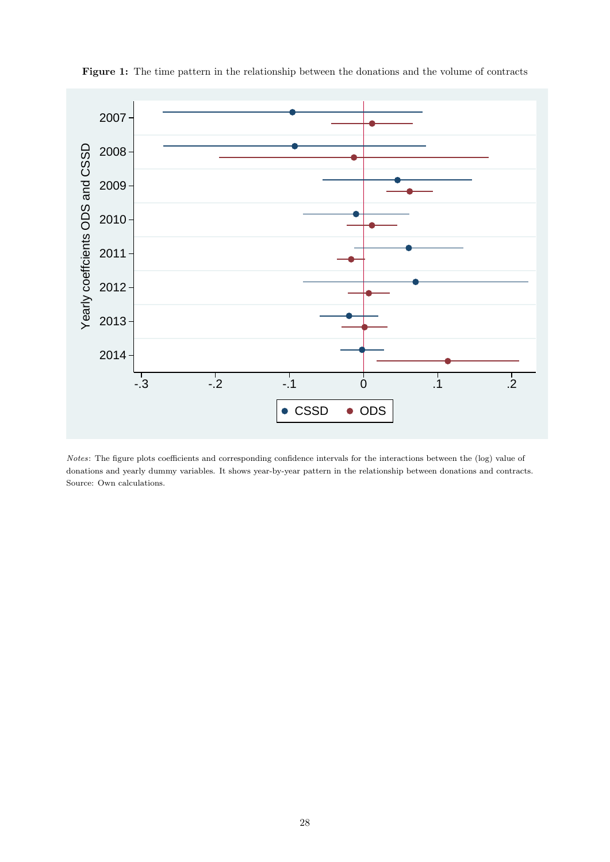

<span id="page-28-0"></span>Figure 1: The time pattern in the relationship between the donations and the volume of contracts

Notes: The figure plots coefficients and corresponding confidence intervals for the interactions between the (log) value of donations and yearly dummy variables. It shows year-by-year pattern in the relationship between donations and contracts. Source: Own calculations.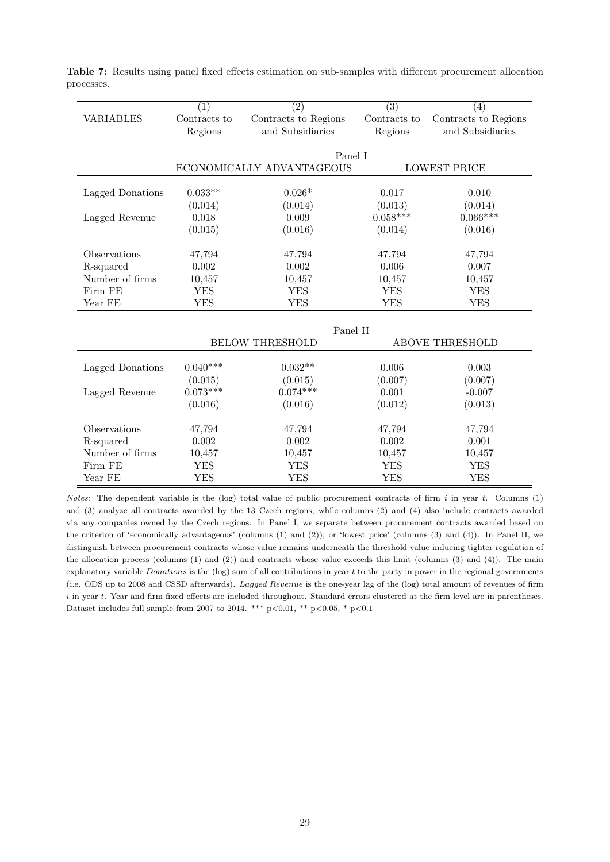|                  | (1)                                              | (2)                       | $\overline{(3)}$ | (4)                  |  |
|------------------|--------------------------------------------------|---------------------------|------------------|----------------------|--|
| <b>VARIABLES</b> | Contracts to                                     | Contracts to Regions      | Contracts to     | Contracts to Regions |  |
|                  | Regions                                          | and Subsidiaries          | Regions          | and Subsidiaries     |  |
|                  |                                                  |                           |                  |                      |  |
|                  |                                                  | Panel I                   |                  |                      |  |
|                  |                                                  | ECONOMICALLY ADVANTAGEOUS |                  | <b>LOWEST PRICE</b>  |  |
|                  |                                                  |                           |                  |                      |  |
| Lagged Donations | $0.033**$                                        | $0.026*$                  | 0.017            | 0.010                |  |
|                  | (0.014)                                          | (0.014)                   | (0.013)          | (0.014)              |  |
| Lagged Revenue   | 0.018                                            | 0.009                     | $0.058***$       | $0.066***$           |  |
|                  | (0.015)                                          | (0.016)                   | (0.014)          | (0.016)              |  |
|                  |                                                  |                           |                  |                      |  |
| Observations     | 47,794                                           | 47,794                    | 47,794           | 47,794               |  |
| R-squared        | 0.002                                            | 0.002                     | 0.006            | 0.007                |  |
| Number of firms  | 10,457                                           | 10,457                    | 10,457           | 10,457               |  |
| Firm FE          | <b>YES</b>                                       | <b>YES</b>                | <b>YES</b>       | <b>YES</b>           |  |
| Year FE          | <b>YES</b>                                       | <b>YES</b>                | <b>YES</b>       | <b>YES</b>           |  |
|                  |                                                  |                           |                  |                      |  |
|                  |                                                  | Panel II                  |                  |                      |  |
|                  | <b>BELOW THRESHOLD</b><br><b>ABOVE THRESHOLD</b> |                           |                  |                      |  |
|                  |                                                  |                           |                  |                      |  |
| Lagged Donations | $0.040***$                                       | $0.032**$                 | 0.006            | 0.003                |  |
|                  | (0.015)                                          | (0.015)                   | (0.007)          | (0.007)              |  |
| Lagged Revenue   | $0.073***$                                       | $0.074***$                | 0.001            | $-0.007$             |  |
|                  | (0.016)                                          | (0.016)                   | (0.012)          | (0.013)              |  |
|                  |                                                  |                           |                  |                      |  |
| Observations     | 47,794                                           | 47,794                    | 47,794           | 47,794               |  |
| R-squared        | 0.002                                            | 0.002                     | 0.002            | 0.001                |  |
| Number of firms  | 10,457                                           | 10,457                    | 10,457           | 10,457               |  |
| Firm FE          | <b>YES</b>                                       | <b>YES</b>                | <b>YES</b>       | <b>YES</b>           |  |
| Year FE          | <b>YES</b>                                       | <b>YES</b>                | <b>YES</b>       | <b>YES</b>           |  |

<span id="page-29-0"></span>Table 7: Results using panel fixed effects estimation on sub-samples with different procurement allocation processes.

Notes: The dependent variable is the (log) total value of public procurement contracts of firm  $i$  in year  $t$ . Columns (1) and (3) analyze all contracts awarded by the 13 Czech regions, while columns (2) and (4) also include contracts awarded via any companies owned by the Czech regions. In Panel I, we separate between procurement contracts awarded based on the criterion of 'economically advantageous' (columns (1) and (2)), or 'lowest price' (columns (3) and (4)). In Panel II, we distinguish between procurement contracts whose value remains underneath the threshold value inducing tighter regulation of the allocation process (columns (1) and (2)) and contracts whose value exceeds this limit (columns (3) and (4)). The main explanatory variable Donations is the  $(log)$  sum of all contributions in year  $t$  to the party in power in the regional governments (i.e. ODS up to 2008 and CSSD afterwards). Lagged Revenue is the one-year lag of the (log) total amount of revenues of firm i in year t. Year and firm fixed effects are included throughout. Standard errors clustered at the firm level are in parentheses. Dataset includes full sample from 2007 to 2014. \*\*\* p<0.01, \*\* p<0.05, \* p<0.1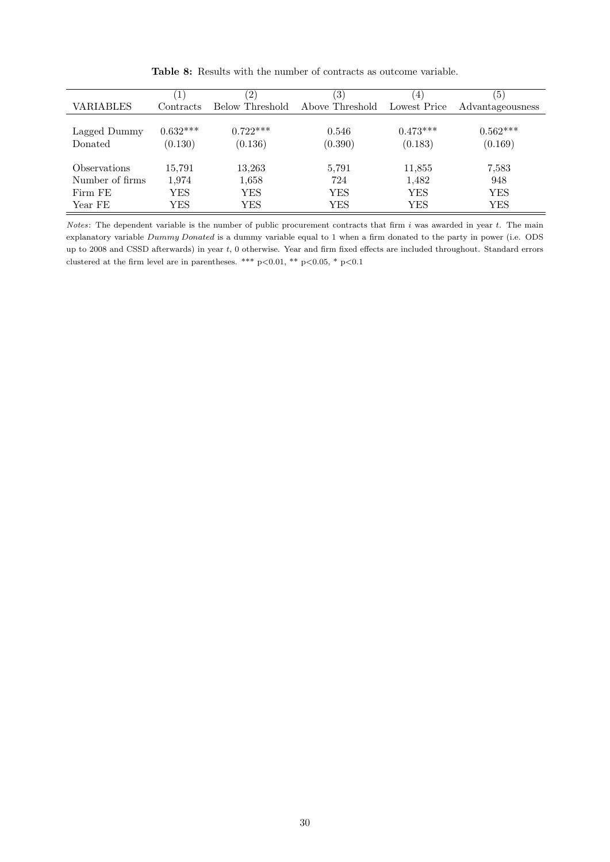<span id="page-30-0"></span>

|                         |                       | $\left( 2\right)$     | $\left( 3\right)$ | $\left( 4\right)$     | $\left[5\right]$      |
|-------------------------|-----------------------|-----------------------|-------------------|-----------------------|-----------------------|
| VARIABLES               | Contracts             | Below Threshold       | Above Threshold   | Lowest Price          | Advantageousness      |
| Lagged Dummy<br>Donated | $0.632***$<br>(0.130) | $0.722***$<br>(0.136) | 0.546<br>(0.390)  | $0.473***$<br>(0.183) | $0.562***$<br>(0.169) |
| Observations            | 15,791                | 13,263                | 5,791             | 11,855                | 7,583                 |
| Number of firms         | 1,974                 | 1,658                 | 724               | 1,482                 | 948                   |
| Firm FE                 | YES                   | YES                   | YES               | YES                   | YES                   |
| Year FE                 | YES                   | YES                   | YES               | <b>YES</b>            | <b>YES</b>            |

Table 8: Results with the number of contracts as outcome variable.

Notes: The dependent variable is the number of public procurement contracts that firm  $i$  was awarded in year  $t$ . The main explanatory variable Dummy Donated is a dummy variable equal to 1 when a firm donated to the party in power (i.e. ODS up to 2008 and CSSD afterwards) in year t, 0 otherwise. Year and firm fixed effects are included throughout. Standard errors clustered at the firm level are in parentheses. \*\*\* p<0.01, \*\* p<0.05, \* p<0.1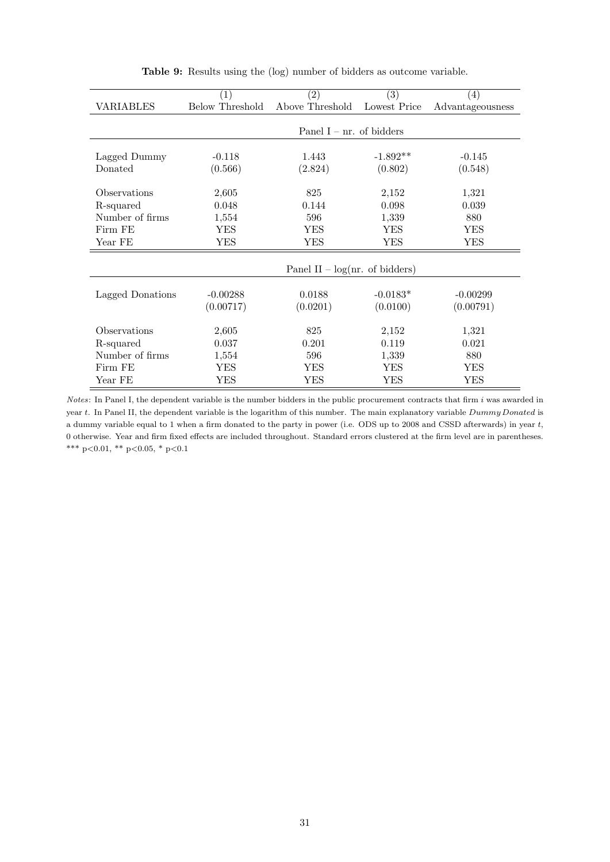<span id="page-31-0"></span>

|                  | $\left( 1\right)$      | $\left( 2\right)$                | (3)          | $\left( 4\right)$              |
|------------------|------------------------|----------------------------------|--------------|--------------------------------|
| VARIABLES        | <b>Below Threshold</b> | Above Threshold                  | Lowest Price | $\large\bf Advant a geousness$ |
|                  |                        |                                  |              |                                |
|                  |                        | Panel $I - nr$ . of bidders      |              |                                |
|                  |                        |                                  |              |                                |
| Lagged Dummy     | $-0.118$               | 1.443                            | $-1.892**$   | $-0.145$                       |
| Donated          | (0.566)                | (2.824)                          | (0.802)      | (0.548)                        |
|                  |                        |                                  |              |                                |
| Observations     | 2,605                  | 825                              | 2,152        | 1,321                          |
| R-squared        | 0.048                  | 0.144                            | 0.098        | 0.039                          |
| Number of firms  | 1,554                  | 596                              | 1,339        | 880                            |
| Firm FE          | YES                    | YES                              | YES          | YES                            |
| Year FE          | YES                    | YES                              | YES          | YES                            |
|                  |                        |                                  |              |                                |
|                  |                        | Panel II – $log(nr.$ of bidders) |              |                                |
|                  |                        |                                  |              |                                |
| Lagged Donations | $-0.00288$             | 0.0188                           | $-0.0183*$   | $-0.00299$                     |
|                  | (0.00717)              | (0.0201)                         | (0.0100)     | (0.00791)                      |
|                  |                        |                                  |              |                                |
| Observations     | 2,605                  | 825                              | 2,152        | 1,321                          |
| R-squared        | 0.037                  | 0.201                            | 0.119        | 0.021                          |
| Number of firms  | 1,554                  | 596                              | 1,339        | 880                            |
| Firm FE          | YES                    | YES                              | YES          | YES                            |
| Year FE          | YES                    | YES                              | YES          | YES                            |

Table 9: Results using the (log) number of bidders as outcome variable.

Notes: In Panel I, the dependent variable is the number bidders in the public procurement contracts that firm  $i$  was awarded in year t. In Panel II, the dependent variable is the logarithm of this number. The main explanatory variable  $Dummy Donated$  is a dummy variable equal to 1 when a firm donated to the party in power (i.e. ODS up to 2008 and CSSD afterwards) in year t, 0 otherwise. Year and firm fixed effects are included throughout. Standard errors clustered at the firm level are in parentheses. \*\*\* p<0.01, \*\* p<0.05, \* p<0.1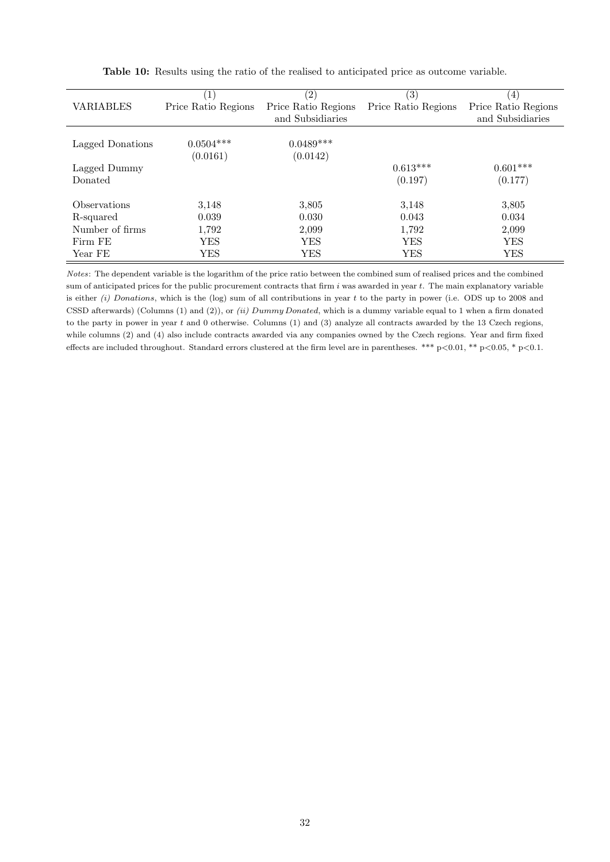<span id="page-32-0"></span>

|                            | $\left( 1\right)$   | $\left( 2\right)$   | $\left( 3\right)$   | $\left(4\right)$    |
|----------------------------|---------------------|---------------------|---------------------|---------------------|
| VARIABLES                  | Price Ratio Regions | Price Ratio Regions | Price Ratio Regions | Price Ratio Regions |
|                            |                     | and Subsidiaries    |                     | and Subsidiaries    |
|                            |                     |                     |                     |                     |
| Lagged Donations           | $0.0504***$         | $0.0489***$         |                     |                     |
|                            | (0.0161)            | (0.0142)            |                     |                     |
| Lagged Dummy               |                     |                     | $0.613***$          | $0.601***$          |
| Donated                    |                     |                     | (0.197)             | (0.177)             |
|                            |                     |                     |                     |                     |
| <i><b>Observations</b></i> | 3,148               | 3,805               | 3,148               | 3,805               |
| R-squared                  | 0.039               | 0.030               | 0.043               | 0.034               |
| Number of firms            | 1,792               | 2,099               | 1,792               | 2,099               |
| Firm FE                    | YES                 | <b>YES</b>          | YES                 | YES                 |
| Year FE                    | <b>YES</b>          | YES                 | YES                 | YES                 |

Table 10: Results using the ratio of the realised to anticipated price as outcome variable.

Notes: The dependent variable is the logarithm of the price ratio between the combined sum of realised prices and the combined sum of anticipated prices for the public procurement contracts that firm  $i$  was awarded in year  $t$ . The main explanatory variable is either (i) Donations, which is the (log) sum of all contributions in year t to the party in power (i.e. ODS up to 2008 and CSSD afterwards) (Columns (1) and (2)), or (ii) Dummy Donated, which is a dummy variable equal to 1 when a firm donated to the party in power in year t and 0 otherwise. Columns (1) and (3) analyze all contracts awarded by the 13 Czech regions, while columns (2) and (4) also include contracts awarded via any companies owned by the Czech regions. Year and firm fixed effects are included throughout. Standard errors clustered at the firm level are in parentheses. \*\*\*  $p < 0.01$ , \*\*  $p < 0.05$ , \*  $p < 0.1$ .